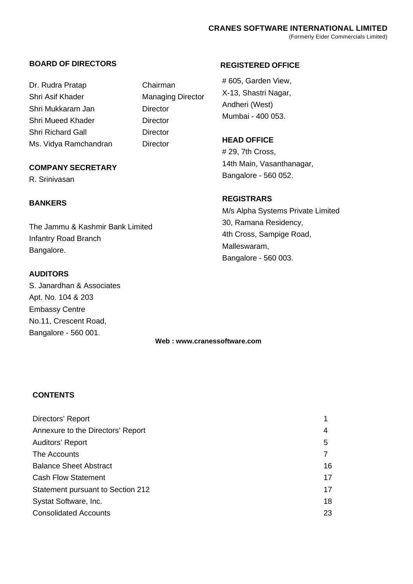# **BOARD OF DIRECTORS**

Dr. Rudra Pratap Chairman Shri Asif Khader Managing Director Shri Mukkaram Jan Director Shri Mueed Khader **Director** Shri Richard Gall **Director** Ms. Vidya Ramchandran Director

# **COMPANY SECRETARY**

R. Srinivasan

# **BANKERS**

The Jammu & Kashmir Bank Limited Infantry Road Branch Bangalore.

# **AUDITORS**

S. Janardhan & Associates Apt. No. 104 & 203 Embassy Centre No.11, Crescent Road, Bangalore - 560 001.

# **REGISTERED OFFICE**

# 605, Garden View, X-13, Shastri Nagar, Andheri (West) Mumbai - 400 053.

# **HEAD OFFICE**

# 29, 7th Cross, 14th Main, Vasanthanagar, Bangalore - 560 052.

# **REGISTRARS**

M/s Alpha Systems Private Limited 30, Ramana Residency, 4th Cross, Sampige Road, Malleswaram, Bangalore - 560 003.

**Web : www.cranessoftware.com**

# **CONTENTS**

| Directors' Report                 |    |
|-----------------------------------|----|
| Annexure to the Directors' Report | 4  |
| Auditors' Report                  | 5  |
| The Accounts                      |    |
| <b>Balance Sheet Abstract</b>     | 16 |
| <b>Cash Flow Statement</b>        | 17 |
| Statement pursuant to Section 212 | 17 |
| Systat Software, Inc.             | 18 |
| <b>Consolidated Accounts</b>      | 23 |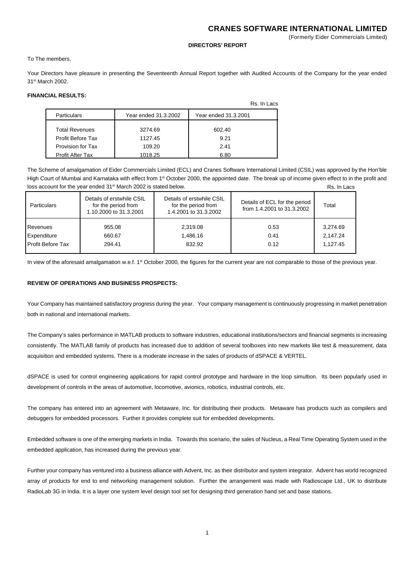(Formerly Eider Commercials Limited)

#### **DIRECTORS' REPORT**

To The members,

Your Directors have pleasure in presenting the Seventeenth Annual Report together with Audited Accounts of the Company for the year ended 31st March 2002.

#### **FINANCIAL RESULTS:**

|                         |                      | Rs. In Lacs          |
|-------------------------|----------------------|----------------------|
| <b>Particulars</b>      | Year ended 31.3.2002 | Year ended 31.3.2001 |
|                         |                      |                      |
| <b>Total Revenues</b>   | 3274.69              | 602.40               |
| Profit Before Tax       | 1127.45              | 9.21                 |
| Provision for Tax       | 109.20               | 2.41                 |
| <b>Profit After Tax</b> | 1018.25              | 6.80                 |

The Scheme of amalgamation of Eider Commercials Limited (ECL) and Cranes Software International Limited (CSIL) was approved by the Hon'ble High Court of Mumbai and Karnataka with effect from 1<sup>st</sup> October 2000, the appointed date. The break up of income given effect to in the profit and loss account for the year ended 31<sup>st</sup> March 2002 is stated below. Rs. In Lacs

| <b>Particulars</b>       | Details of erstwhile CSIL<br>for the period from<br>1.10.2000 to 31.3.2001 | Details of erstwhile CSIL<br>for the period from<br>1.4.2001 to 31.3.2002 | Details of ECL for the period<br>from 1.4.2001 to 31.3.2002 | Total    |
|--------------------------|----------------------------------------------------------------------------|---------------------------------------------------------------------------|-------------------------------------------------------------|----------|
| Revenues                 | 955.08                                                                     | 2,319.08                                                                  | 0.53                                                        | 3,274.69 |
| Expenditure              | 660.67                                                                     | 1,486.16                                                                  | 0.41                                                        | 2.147.24 |
| <b>Profit Before Tax</b> | 294.41                                                                     | 832.92                                                                    | 0.12                                                        | 1.127.45 |

In view of the aforesaid amalgamation w.e.f. 1<sup>st</sup> October 2000, the figures for the current year are not comparable to those of the previous year.

## **REVIEW OF OPERATIONS AND BUSINESS PROSPECTS:**

Your Company has maintained satisfactory progress during the year. Your company management is continuously progressing in market penetration both in national and international markets.

The Company's sales performance in MATLAB products to software industries, educational institutions/sectors and financial segments is increasing consistently. The MATLAB family of products has increased due to addition of several toolboxes into new markets like test & measurement, data acquisition and embedded systems. There is a moderate increase in the sales of products of dSPACE & VERTEL.

dSPACE is used for control engineering applications for rapid control prototype and hardware in the loop simultion. Its been popularly used in development of controls in the areas of automotive, locomotive, avionics, robotics, industrial controls, etc.

The company has entered into an agreement with Metaware, Inc. for distributing their products. Metaware has products such as compilers and debuggers for embedded processors. Further it provides complete suit for embedded developments.

Embedded software is one of the emerging markets in India. Towards this scenario, the sales of Nucleus, a Real Time Operating System used in the embedded application, has increased during the previous year.

Further your company has ventured into a business alliance with Advent, Inc. as their distributor and system integrator. Advent has world recognized array of products for end to end networking management solution. Further the arrangement was made with Radioscape Ltd., UK to distribute RadioLab 3G in India. It is a layer one system level design tool set for designing third generation hand set and base stations.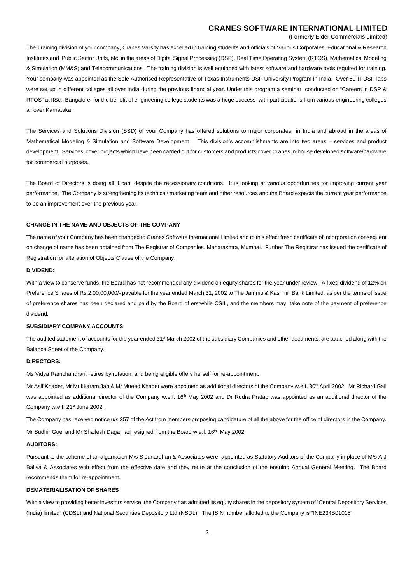(Formerly Eider Commercials Limited)

The Training division of your company, Cranes Varsity has excelled in training students and officials of Various Corporates, Educational & Research Institutes and Public Sector Units, etc. in the areas of Digital Signal Processing (DSP), Real Time Operating System (RTOS), Mathematical Modeling & Simulation (MM&S) and Telecommunications. The training division is well equipped with latest software and hardware tools required for training. Your company was appointed as the Sole Authorised Representative of Texas Instruments DSP University Program in India. Over 50 TI DSP labs were set up in different colleges all over India during the previous financial year. Under this program a seminar conducted on "Careers in DSP & RTOS" at IISc., Bangalore, for the benefit of engineering college students was a huge success with participations from various engineering colleges all over Karnataka.

The Services and Solutions Division (SSD) of your Company has offered solutions to major corporates in India and abroad in the areas of Mathematical Modeling & Simulation and Software Development . This division's accomplishments are into two areas – services and product development. Services cover projects which have been carried out for customers and products cover Cranes in-house developed software/hardware for commercial purposes.

The Board of Directors is doing all it can, despite the recessionary conditions. It is looking at various opportunities for improving current year performance. The Company is strengthening its technical/ marketing team and other resources and the Board expects the current year performance to be an improvement over the previous year.

#### **CHANGE IN THE NAME AND OBJECTS OF THE COMPANY**

The name of your Company has been changed to Cranes Software International Limited and to this effect fresh certificate of incorporation consequent on change of name has been obtained from The Registrar of Companies, Maharashtra, Mumbai. Further The Registrar has issued the certificate of Registration for alteration of Objects Clause of the Company.

#### **DIVIDEND:**

With a view to conserve funds, the Board has not recommended any dividend on equity shares for the year under review. A fixed dividend of 12% on Preference Shares of Rs.2,00,00,000/- payable for the year ended March 31, 2002 to The Jammu & Kashmir Bank Limited, as per the terms of issue of preference shares has been declared and paid by the Board of erstwhile CSIL, and the members may take note of the payment of preference dividend.

#### **SUBSIDIARY COMPANY ACCOUNTS:**

The audited statement of accounts for the year ended 31<sup>st</sup> March 2002 of the subsidiary Companies and other documents, are attached along with the Balance Sheet of the Company.

#### **DIRECTORS:**

Ms Vidya Ramchandran, retires by rotation, and being eligible offers herself for re-appointment.

Mr Asif Khader, Mr Mukkaram Jan & Mr Mueed Khader were appointed as additional directors of the Company w.e.f. 30<sup>th</sup> April 2002. Mr Richard Gall was appointed as additional director of the Company w.e.f. 16<sup>th</sup> May 2002 and Dr Rudra Pratap was appointed as an additional director of the Company w.e.f. 21<sup>st</sup> June 2002.

The Company has received notice u/s 257 of the Act from members proposing candidature of all the above for the office of directors in the Company.

Mr Sudhir Goel and Mr Shailesh Daga had resigned from the Board w.e.f. 16th May 2002.

#### **AUDITORS:**

Pursuant to the scheme of amalgamation M/s S Janardhan & Associates were appointed as Statutory Auditors of the Company in place of M/s A J Baliya & Associates with effect from the effective date and they retire at the conclusion of the ensuing Annual General Meeting. The Board recommends them for re-appointment.

### **DEMATERIALISATION OF SHARES**

With a view to providing better investors service, the Company has admitted its equity shares in the depository system of "Central Depository Services (India) limited" (CDSL) and National Securities Depository Ltd (NSDL). The ISIN number allotted to the Company is "INE234B01015".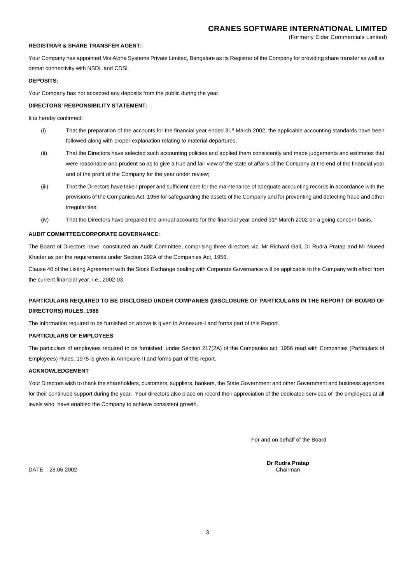(Formerly Eider Commercials Limited)

## **REGISTRAR & SHARE TRANSFER AGENT:**

Your Company has appointed M/s Alpha Systems Private Limited. Bangalore as its Registrar of the Company for providing share transfer as well as demat connectivity with NSDL and CDSL.

## **DEPOSITS:**

Your Company has not accepted any deposits from the public during the year.

#### **DIRECTORS' RESPONSIBILITY STATEMENT:**

It is hereby confirmed:

- (i) That the preparation of the accounts for the financial year ended  $31$ <sup>st</sup> March 2002, the applicable accounting standards have been followed along with proper explanation relating to material departures;
- (ii) That the Directors have selected such accounting policies and applied them consistently and made judgements and estimates that were reasonable and prudent so as to give a true and fair view of the state of affairs of the Company at the end of the financial year and of the profit of the Company for the year under review;
- (iii) That the Directors have taken proper and sufficient care for the maintenance of adequate accounting records in accordance with the provisions of the Companies Act, 1956 for safeguarding the assets of the Company and for preventing and detecting fraud and other irregularities;
- (iv) That the Directors have prepared the annual accounts for the financial year ended 31<sup>st</sup> March 2002 on a going concern basis.

#### **AUDIT COMMITTEE/CORPORATE GOVERNANCE:**

The Board of Directors have constituted an Audit Committee, comprising three directors viz. Mr Richard Gall, Dr Rudra Pratap and Mr Mueed Khader as per the requirements under Section 292A of the Companies Act, 1956.

Clause 40 of the Listing Agreement with the Stock Exchange dealing with Corporate Governance will be applicable to the Company with effect from the current financial year, i.e., 2002-03.

# **PARTICULARS REQUIRED TO BE DISCLOSED UNDER COMPANIES (DISCLOSURE OF PARTICULARS IN THE REPORT OF BOARD OF DIRECTORS) RULES, 1988**

The information required to be furnished on above is given in Annexure-I and forms part of this Report.

#### **PARTICULARS OF EMPLOYEES**

The particulars of employees required to be furnished, under Section 217(2A) of the Companies act, 1956 read with Companies (Particulars of Employees) Rules, 1975 is given in Annexure-II and forms part of this report.

## **ACKNOWLEDGEMENT**

Your Directors wish to thank the shareholders, customers, suppliers, bankers, the State Government and other Government and business agencies for their continued support during the year. Your directors also place on record their appreciation of the dedicated services of the employees at all levels who have enabled the Company to achieve consistent growth.

For and on behalf of the Board

**Dr Rudra Pratap**<br>Chairman

 $DATE : 28.06.2002$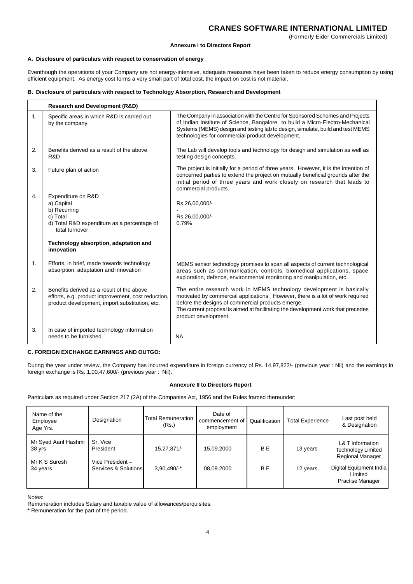#### **Annexure I to Directors Report**

#### **A. Disclosure of particulars with respect to conservation of energy**

Eventhough the operations of your Company are not energy-intensive, adequate measures have been taken to reduce energy consumption by using efficient equipment. As energy cost forms a very small part of total cost, the impact on cost is not material.

## **B. Disclosure of particulars with respect to Technology Absorption, Research and Development**

|    | <b>Research and Development (R&amp;D)</b>                                                                                                                              |                                                                                                                                                                                                                                                                                                                         |
|----|------------------------------------------------------------------------------------------------------------------------------------------------------------------------|-------------------------------------------------------------------------------------------------------------------------------------------------------------------------------------------------------------------------------------------------------------------------------------------------------------------------|
| 1. | Specific areas in which R&D is carried out<br>by the company                                                                                                           | The Company in association with the Centre for Sponsored Schemes and Projects<br>of Indian Institute of Science, Bangalore to build a Micro-Electro-Mechanical<br>Systems (MEMS) design and testing lab to design, simulate, build and test MEMS<br>technologies for commercial product development.                    |
| 2. | Benefits derived as a result of the above<br>R&D                                                                                                                       | The Lab will develop tools and technology for design and simulation as well as<br>testing design concepts.                                                                                                                                                                                                              |
| 3. | Future plan of action                                                                                                                                                  | The project is initially for a period of three years. However, it is the intention of<br>concerned parties to extend the project on mutually beneficial grounds after the<br>initial period of three years and work closely on research that leads to<br>commercial products.                                           |
| 4. | Expenditure on R&D<br>a) Capital<br>b) Recurring<br>c) Total<br>d) Total R&D expenditure as a percentage of<br>total turnover<br>Technology absorption, adaptation and | Rs.26,00,000/-<br>Rs.26,00,000/-<br>0.79%                                                                                                                                                                                                                                                                               |
|    | innovation                                                                                                                                                             |                                                                                                                                                                                                                                                                                                                         |
| 1. | Efforts, in brief, made towards technology<br>absorption, adaptation and innovation                                                                                    | MEMS sensor technology promises to span all aspects of current technological<br>areas such as communication, controls, biomedical applications, space<br>exploration, defence, environmental monitoring and manipulation, etc.                                                                                          |
| 2. | Benefits derived as a result of the above<br>efforts, e.g. product improvement, cost reduction,<br>product development, import substitution, etc.                      | The entire research work in MEMS technology development is basically<br>motivated by commercial applications. However, there is a lot of work required<br>before the designs of commercial products emerge.<br>The current proposal is aimed at facilitating the development work that precedes<br>product development. |
| 3. | In case of imported technology information<br>needs to be furnished                                                                                                    | <b>NA</b>                                                                                                                                                                                                                                                                                                               |

## **C. FOREIGN EXCHANGE EARNINGS AND OUTGO:**

During the year under review, the Company has incurred expenditure in foreign currency of Rs. 14,97,822/- (previous year : Nil) and the earnings in foreign exchange is Rs. 1,00,47,600/- (previous year : Nil).

## **Annexure II to Directors Report**

Particulars as required under Section 217 (2A) of the Companies Act, 1956 and the Rules framed thereunder:

| Name of the<br>Employee<br>Age Yrs.             | Designation                                 | <b>Total Remuneration</b><br>(Rs.) | Date of<br>commencement of<br>employment | Qualification | Total Experience | Last post held<br>& Designation                                   |
|-------------------------------------------------|---------------------------------------------|------------------------------------|------------------------------------------|---------------|------------------|-------------------------------------------------------------------|
| Mr Syed Aarif Hashmi<br>38 yrs<br>Mr K S Suresh | Sr. Vice<br>President<br>Vice President $-$ | 15,27,871/-                        | 15.09.2000                               | BE.           | 13 years         | L& T Information<br>Technology Limited<br><b>Regional Manager</b> |
| 34 years                                        | Services & Solutions                        | $3.90.490/-$ *                     | 08.09.2000                               | BE.           | 12 years         | Digital Equipment India<br>Limited<br><b>Practise Manager</b>     |

Notes:

Remuneration includes Salary and taxable value of allowances/perquisites.

\* Remuneration for the part of the period.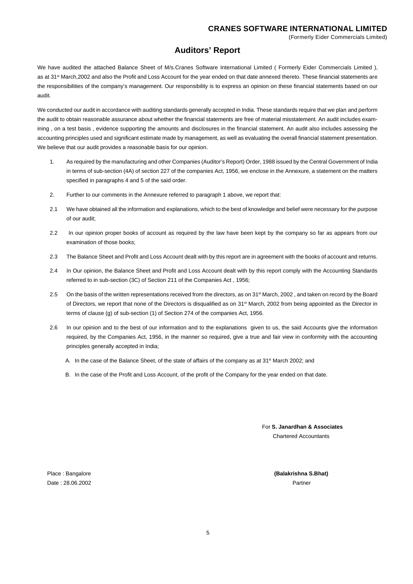# **Auditors' Report**

We have audited the attached Balance Sheet of M/s.Cranes Software International Limited (Formerly Eider Commercials Limited ), as at 31<sup>st</sup> March,2002 and also the Profit and Loss Account for the year ended on that date annexed thereto. These financial statements are the responsibilities of the company's management. Our responsibility is to express an opinion on these financial statements based on our audit.

We conducted our audit in accordance with auditing standards generally accepted in India. These standards require that we plan and perform the audit to obtain reasonable assurance about whether the financial statements are free of material misstatement. An audit includes examining, on a test basis, evidence supporting the amounts and disclosures in the financial statement. An audit also includes assessing the accounting principles used and significant estimate made by management, as well as evaluating the overall financial statement presentation. We believe that our audit provides a reasonable basis for our opinion.

- 1. As required by the manufacturing and other Companies (Auditor's Report) Order, 1988 issued by the Central Government of India in terms of sub-section (4A) of section 227 of the companies Act, 1956, we enclose in the Annexure, a statement on the matters specified in paragraphs 4 and 5 of the said order.
- 2. Further to our comments in the Annexure referred to paragraph 1 above, we report that:
- 2.1 We have obtained all the information and explanations, which to the best of knowledge and belief were necessary for the purpose of our audit;
- 2.2 In our opinion proper books of account as required by the law have been kept by the company so far as appears from our examination of those books;
- 2.3 The Balance Sheet and Profit and Loss Account dealt with by this report are in agreement with the books of account and returns.
- 2.4 In Our opinion, the Balance Sheet and Profit and Loss Account dealt with by this report comply with the Accounting Standards referred to in sub-section (3C) of Section 211 of the Companies Act , 1956;
- 2.5 On the basis of the written representations received from the directors, as on 31<sup>st</sup> March, 2002, and taken on record by the Board of Directors, we report that none of the Directors is disqualified as on 31<sup>st</sup> March, 2002 from being appointed as the Director in terms of clause (g) of sub-section (1) of Section 274 of the companies Act, 1956.
- 2.6 In our opinion and to the best of our information and to the explanations given to us, the said Accounts give the information required, by the Companies Act, 1956, in the manner so required, give a true and fair view in conformity with the accounting principles generally accepted in India;
	- A. In the case of the Balance Sheet, of the state of affairs of the company as at 31<sup>st</sup> March 2002; and
	- B. In the case of the Profit and Loss Account, of the profit of the Company for the year ended on that date.

For **S. Janardhan & Associates** Chartered Accountants

Date : 28.06.2002Partner

Place : Bangalore **(Balakrishna S.Bhat)**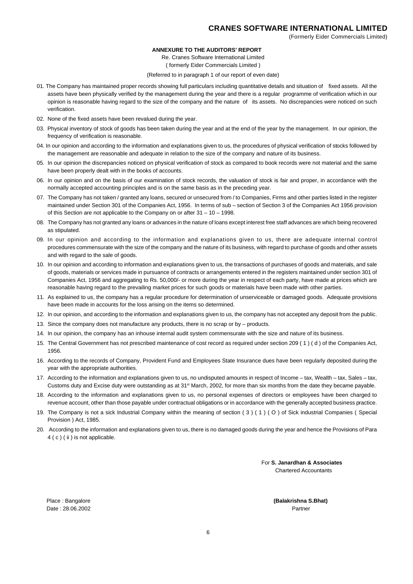#### **ANNEXURE TO THE AUDITORS' REPORT**

Re. Cranes Software International Limited

( formerly Eider Commercials Limited )

(Referred to in paragraph 1 of our report of even date)

- 01. The Company has maintained proper records showing full particulars including quantitative details and situation of fixed assets. All the assets have been physically verified by the management during the year and there is a regular programme of verification which in our opinion is reasonable having regard to the size of the company and the nature of its assets. No discrepancies were noticed on such verification.
- 02. None of the fixed assets have been revalued during the year.
- 03. Physical inventory of stock of goods has been taken during the year and at the end of the year by the management. In our opinion, the frequency of verification is reasonable.
- 04. In our opinion and according to the information and explanations given to us, the procedures of physical verification of stocks followed by the management are reasonable and adequate in relation to the size of the company and nature of its business.
- 05. In our opinion the discrepancies noticed on physical verification of stock as compared to book records were not material and the same have been properly dealt with in the books of accounts.
- 06. In our opinion and on the basis of our examination of stock records, the valuation of stock is fair and proper, in accordance with the normally accepted accounting principles and is on the same basis as in the preceding year.
- 07. The Company has not taken / granted any loans, secured or unsecured from / to Companies, Firms and other parties listed in the register maintained under Section 301 of the Companies Act, 1956. In terms of sub – section of Section 3 of the Companies Act 1956 provision of this Section are not applicable to the Company on or after 31 – 10 – 1998.
- 08. The Company has not granted any loans or advances in the nature of loans except interest free staff advances are which being recovered as stipulated.
- 09. In our opinion and according to the information and explanations given to us, there are adequate internal control procedures commensurate with the size of the company and the nature of its business, with regard to purchase of goods and other assets and with regard to the sale of goods.
- 10. In our opinion and according to information and explanations given to us, the transactions of purchases of goods and materials, and sale of goods, materials or services made in pursuance of contracts or arrangements entered in the registers maintained under section 301 of Companies Act, 1956 and aggregating to Rs. 50,000/- or more during the year in respect of each party, have made at prices which are reasonable having regard to the prevailing market prices for such goods or materials have been made with other parties.
- 11. As explained to us, the company has a regular procedure for determination of unserviceable or damaged goods. Adequate provisions have been made in accounts for the loss arising on the items so determined.
- 12. In our opinion, and according to the information and explanations given to us, the company has not accepted any deposit from the public.
- 13. Since the company does not manufacture any products, there is no scrap or by products.
- 14. In our opinion, the company has an inhouse internal audit system commensurate with the size and nature of its business.
- 15. The Central Government has not prescribed maintenance of cost record as required under section 209 ( 1 ) ( d ) of the Companies Act, 1956.
- 16. According to the records of Company, Provident Fund and Employees State Insurance dues have been regularly deposited during the year with the appropriate authorities.
- 17. According to the information and explanations given to us, no undisputed amounts in respect of Income tax, Wealth tax, Sales tax, Customs duty and Excise duty were outstanding as at 31<sup>st</sup> March, 2002, for more than six months from the date they became payable.
- 18. According to the information and explanations given to us, no personal expenses of directors or employees have been charged to revenue account, other than those payable under contractual obligations or in accordance with the generally accepted business practice.
- 19. The Company is not a sick Industrial Company within the meaning of section ( 3 ) ( 1 ) ( O ) of Sick industrial Companies ( Special Provision ) Act, 1985.
- 20. According to the information and explanations given to us, there is no damaged goods during the year and hence the Provisions of Para 4 ( c ) ( ii ) is not applicable.

For **S. Janardhan & Associates** Chartered Accountants

Date : 28.06.2002Partner

Place : Bangalore **(Balakrishna S.Bhat)**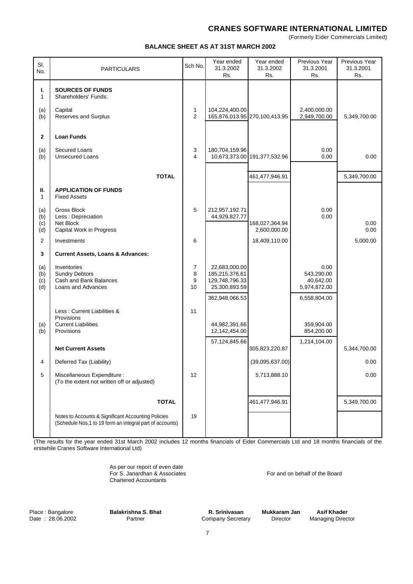(Formerly Eider Commercials Limited)

#### **BALANCE SHEET AS AT 31ST MARCH 2002**

| SI.<br>No.               | <b>PARTICULARS</b>                                                                                              | Sch No.           | Year ended<br>31.3.2002<br>Rs.                                     | Year ended<br>31.3.2002<br>Rs. | Previous Year<br>31.3.2001<br>Rs.               | Previous Year<br>31.3.2001<br>Rs. |
|--------------------------|-----------------------------------------------------------------------------------------------------------------|-------------------|--------------------------------------------------------------------|--------------------------------|-------------------------------------------------|-----------------------------------|
| ı.<br>$\mathbf{1}$       | <b>SOURCES OF FUNDS</b><br>Shareholders' Funds:                                                                 |                   |                                                                    |                                |                                                 |                                   |
| (a)<br>(b)               | Capital<br>Reserves and Surplus                                                                                 | 1<br>2            | 104,224,400.00                                                     | 165,876,013.95 270,100,413.95  | 2,400,000.00<br>2,949,700.00                    | 5,349,700.00                      |
| $\mathbf{2}$             | <b>Loan Funds</b>                                                                                               |                   |                                                                    |                                |                                                 |                                   |
| (a)<br>(b)               | Secured Loans<br><b>Unsecured Loans</b>                                                                         | 3<br>4            | 180,704,159.96                                                     | 10,673,373.00 191,377,532.96   | 0.00<br>0.00                                    | 0.00                              |
|                          | <b>TOTAL</b>                                                                                                    |                   |                                                                    | 461,477,946.91                 |                                                 | 5,349,700.00                      |
| Ш.<br>$\mathbf{1}$       | <b>APPLICATION OF FUNDS</b><br><b>Fixed Assets</b>                                                              |                   |                                                                    |                                |                                                 |                                   |
| (a)<br>(b)               | <b>Gross Block</b><br>Less : Depreciation                                                                       | 5                 | 212,957,192.71<br>44,929,827.77                                    |                                | 0.00<br>0.00                                    |                                   |
| (c)<br>(d)               | Net Block<br>Capital Work in Progress                                                                           |                   |                                                                    | 168,027,364.94<br>2,600,000.00 |                                                 | 0.00<br>0.00                      |
| $\overline{2}$           | Investments                                                                                                     | 6                 |                                                                    | 18,409,110.00                  |                                                 | 5,000.00                          |
| 3                        | <b>Current Assets, Loans &amp; Advances:</b>                                                                    |                   |                                                                    |                                |                                                 |                                   |
| (a)<br>(b)<br>(c)<br>(d) | Inventories<br><b>Sundry Debtors</b><br>Cash and Bank Balances<br>Loans and Advances                            | 7<br>8<br>9<br>10 | 22,683,000.00<br>185,215,376.61<br>129,748,796.33<br>25,300,893.59 |                                | 0.00<br>543,290.00<br>40,642.00<br>5,974,872.00 |                                   |
|                          |                                                                                                                 |                   | 362,948,066.53                                                     |                                | 6,558,804.00                                    |                                   |
|                          | Less: Current Liabilities &                                                                                     | 11                |                                                                    |                                |                                                 |                                   |
| (a)<br>(b)               | Provisions<br><b>Current Liabilities</b><br>Provisions                                                          |                   | 44,982,391.66<br>12,142,454.00                                     |                                | 359,904.00<br>854,200.00                        |                                   |
|                          | <b>Net Current Assets</b>                                                                                       |                   | 57,124,845.66                                                      | 305,823,220.87                 | 1,214,104.00                                    | 5,344,700.00                      |
| 4                        | Deferred Tax (Liability)                                                                                        |                   |                                                                    | (39,095,637.00)                |                                                 | 0.00                              |
| 5                        | Miscellaneous Expenditure :<br>(To the extent not written off or adjusted)                                      | 12                |                                                                    | 5,713,888.10                   |                                                 | 0.00                              |
|                          | <b>TOTAL</b>                                                                                                    |                   |                                                                    | 461,477,946.91                 |                                                 | 5,349,700.00                      |
|                          | Notes to Accounts & Significant Accounting Policies<br>(Schedule Nos.1 to 19 form an integral part of accounts) | 19                |                                                                    |                                |                                                 |                                   |

(The results for the year ended 31st March 2002 includes 12 months financials of Eider Commercials Ltd and 18 months financials of the erstwhile Cranes Software International Ltd)

> As per our report of even date For S. Janardhan & Associates For and on behalf of the Board Chartered Accountants

Place : Bangalore **Balakrishna S. Bhat R. Srinivasan Mukkaram Jan Asif Khader**<br>Date : 28.06.2002 **Partner** Company Secretary Director Managing Director Company Secretary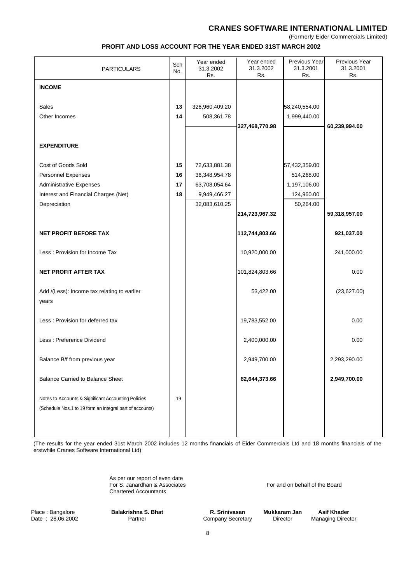(Formerly Eider Commercials Limited)

#### **PROFIT AND LOSS ACCOUNT FOR THE YEAR ENDED 31ST MARCH 2002**

| <b>PARTICULARS</b>                                                                                              | Sch<br>No. | Year ended<br>31.3.2002<br>Rs. | Year ended<br>31.3.2002<br>Rs. | Previous Year<br>31.3.2001<br>Rs. | Previous Year<br>31.3.2001<br>Rs. |
|-----------------------------------------------------------------------------------------------------------------|------------|--------------------------------|--------------------------------|-----------------------------------|-----------------------------------|
| <b>INCOME</b>                                                                                                   |            |                                |                                |                                   |                                   |
|                                                                                                                 |            |                                |                                |                                   |                                   |
| Sales<br>Other Incomes                                                                                          | 13<br>14   | 326,960,409.20                 |                                | 58,240,554.00<br>1,999,440.00     |                                   |
|                                                                                                                 |            | 508,361.78                     | 327,468,770.98                 |                                   | 60,239,994.00                     |
|                                                                                                                 |            |                                |                                |                                   |                                   |
| <b>EXPENDITURE</b>                                                                                              |            |                                |                                |                                   |                                   |
| Cost of Goods Sold                                                                                              | 15         | 72,633,881.38                  |                                | 57,432,359.00                     |                                   |
| <b>Personnel Expenses</b>                                                                                       | 16         | 36,348,954.78                  |                                | 514,268.00                        |                                   |
| <b>Administrative Expenses</b>                                                                                  | 17         | 63,708,054.64                  |                                | 1,197,106.00                      |                                   |
| Interest and Financial Charges (Net)                                                                            | 18         | 9,949,466.27                   |                                | 124,960.00                        |                                   |
| Depreciation                                                                                                    |            | 32,083,610.25                  |                                | 50,264.00                         |                                   |
|                                                                                                                 |            |                                | 214,723,967.32                 |                                   | 59,318,957.00                     |
| <b>NET PROFIT BEFORE TAX</b>                                                                                    |            |                                | 112,744,803.66                 |                                   | 921,037.00                        |
| Less: Provision for Income Tax                                                                                  |            |                                | 10,920,000.00                  |                                   | 241,000.00                        |
| <b>NET PROFIT AFTER TAX</b>                                                                                     |            |                                | 101,824,803.66                 |                                   | 0.00                              |
| Add /(Less): Income tax relating to earlier<br>years                                                            |            |                                | 53,422.00                      |                                   | (23,627.00)                       |
| Less: Provision for deferred tax                                                                                |            |                                | 19,783,552.00                  |                                   | 0.00                              |
| Less: Preference Dividend                                                                                       |            |                                | 2,400,000.00                   |                                   | 0.00                              |
| Balance B/f from previous year                                                                                  |            |                                | 2,949,700.00                   |                                   | 2,293,290.00                      |
| <b>Balance Carried to Balance Sheet</b>                                                                         |            |                                | 82,644,373.66                  |                                   | 2,949,700.00                      |
| Notes to Accounts & Significant Accounting Policies<br>(Schedule Nos.1 to 19 form an integral part of accounts) | 19         |                                |                                |                                   |                                   |

(The results for the year ended 31st March 2002 includes 12 months financials of Eider Commercials Ltd and 18 months financials of the erstwhile Cranes Software International Ltd)

> As per our report of even date For S. Janardhan & Associates For and on behalf of the Board Chartered Accountants

Place : Bangalore **Balakrishna S. Bhat R. Srinivasan Mukkaram Jan Asif Khader**<br>Date : 28.06.2002 Partner **Partner** Company Secretary Director Managing Director

Company Secretary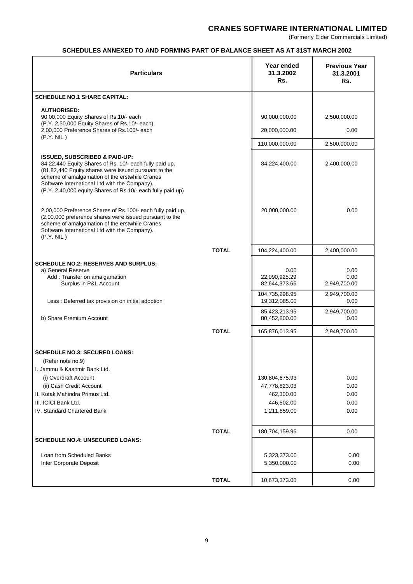(Formerly Eider Commercials Limited)

## **SCHEDULES ANNEXED TO AND FORMING PART OF BALANCE SHEET AS AT 31ST MARCH 2002**

| <b>Particulars</b>                                                                                                                                                                                                                                                                                                            |              | Year ended<br>31.3.2002<br>Rs.                                              | <b>Previous Year</b><br>31.3.2001<br>Rs. |
|-------------------------------------------------------------------------------------------------------------------------------------------------------------------------------------------------------------------------------------------------------------------------------------------------------------------------------|--------------|-----------------------------------------------------------------------------|------------------------------------------|
| <b>SCHEDULE NO.1 SHARE CAPITAL:</b>                                                                                                                                                                                                                                                                                           |              |                                                                             |                                          |
| <b>AUTHORISED:</b><br>90,00,000 Equity Shares of Rs.10/- each                                                                                                                                                                                                                                                                 |              | 90,000,000.00                                                               | 2,500,000.00                             |
| (P.Y. 2,50,000 Equity Shares of Rs.10/- each)                                                                                                                                                                                                                                                                                 |              |                                                                             |                                          |
| 2,00,000 Preference Shares of Rs.100/- each<br>(P.Y. NIL)                                                                                                                                                                                                                                                                     |              | 20,000,000.00                                                               | 0.00                                     |
|                                                                                                                                                                                                                                                                                                                               |              | 110,000,000.00                                                              | 2,500,000.00                             |
| <b>ISSUED, SUBSCRIBED &amp; PAID-UP:</b><br>84,22,440 Equity Shares of Rs. 10/- each fully paid up.<br>(81,82,440 Equity shares were issued pursuant to the<br>scheme of amalgamation of the erstwhile Cranes<br>Software International Ltd with the Company).<br>(P.Y. 2,40,000 equity Shares of Rs.10/- each fully paid up) |              | 84,224,400.00                                                               | 2,400,000.00                             |
| 2,00,000 Preference Shares of Rs.100/- each fully paid up.<br>(2,00,000 preference shares were issued pursuant to the<br>scheme of amalgamation of the erstwhile Cranes<br>Software International Ltd with the Company).<br>(P.Y. NIL)                                                                                        |              | 20,000,000.00                                                               | 0.00                                     |
|                                                                                                                                                                                                                                                                                                                               | <b>TOTAL</b> | 104,224,400.00                                                              | 2,400,000.00                             |
| <b>SCHEDULE NO.2: RESERVES AND SURPLUS:</b><br>a) General Reserve<br>Add: Transfer on amalgamation<br>Surplus in P&L Account                                                                                                                                                                                                  |              | 0.00<br>22,090,925.29<br>82,644,373.66                                      | 0.00<br>0.00<br>2,949,700.00             |
| Less : Deferred tax provision on initial adoption                                                                                                                                                                                                                                                                             |              | 104,735,298.95<br>19,312,085.00                                             | 2,949,700.00<br>0.00                     |
| b) Share Premium Account                                                                                                                                                                                                                                                                                                      |              | 85,423,213.95<br>80,452,800.00                                              | 2,949,700.00<br>0.00                     |
|                                                                                                                                                                                                                                                                                                                               | <b>TOTAL</b> | 165,876,013.95                                                              | 2,949,700.00                             |
| <b>SCHEDULE NO.3: SECURED LOANS:</b><br>(Refer note no.9)<br>I. Jammu & Kashmir Bank Ltd.<br>(i) Overdraft Account<br>(ii) Cash Credit Account<br>II. Kotak Mahindra Primus Ltd.<br>III. ICICI Bank Ltd.<br>IV. Standard Chartered Bank                                                                                       |              | 130,804,675.93<br>47,778,823.03<br>462,300.00<br>446,502.00<br>1,211,859.00 | 0.00<br>0.00<br>0.00<br>0.00<br>0.00     |
|                                                                                                                                                                                                                                                                                                                               | <b>TOTAL</b> | 180,704,159.96                                                              | 0.00                                     |
| <b>SCHEDULE NO.4: UNSECURED LOANS:</b>                                                                                                                                                                                                                                                                                        |              |                                                                             |                                          |
| Loan from Scheduled Banks<br>Inter Corporate Deposit                                                                                                                                                                                                                                                                          |              | 5,323,373.00<br>5,350,000.00                                                | 0.00<br>0.00                             |
|                                                                                                                                                                                                                                                                                                                               | <b>TOTAL</b> | 10,673,373.00                                                               | 0.00                                     |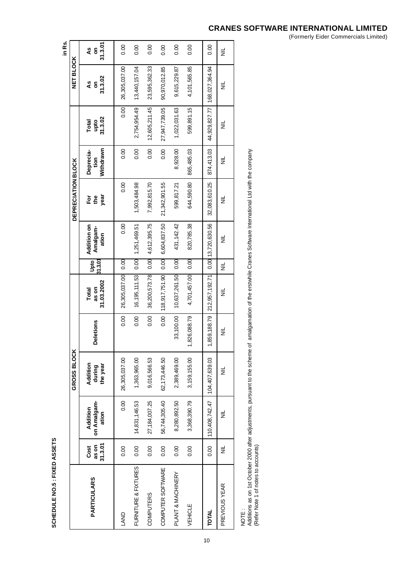SCHEDULE NO.5 : FIXED ASSETS **SCHEDULE NO.5 : FIXED ASSETS**

|                      |                          |                                  |                                |                  |                                   |                 |                                  |                           |                                |                                |                    | in Rs.             |
|----------------------|--------------------------|----------------------------------|--------------------------------|------------------|-----------------------------------|-----------------|----------------------------------|---------------------------|--------------------------------|--------------------------------|--------------------|--------------------|
|                      |                          |                                  | GROSS BLOCH                    |                  |                                   |                 |                                  | <b>DEPRECIATION BLOCK</b> |                                |                                | <b>NET BLOCK</b>   |                    |
| <b>PARTICULARS</b>   | 31.3.01<br>as on<br>Cost | on Amalgam-<br>Addition<br>ation | Addition<br>the year<br>during | <b>Deletions</b> | 31.03.2002<br>as on<br>Total      | 31.3.01<br>Upto | Addition on<br>Amalgam-<br>ation | year<br>$E$ $\approx$     | Withdrawn<br>Deprecia-<br>tion | 31.3.02<br>Total<br>upto       | 31.3.02<br>۹S<br>ã | 31.3.07<br>٩s<br>ã |
| <b>LAND</b>          | 0.00                     | 0.00                             | 26,305,037.00                  | 0.00             | 26,305,037.00                     | 0.00            | 0.00                             | 0.00                      | 0.00                           | 0.00                           | 26,305,037.00      | 0.00               |
| FURNITURE & FIXTURES | 0.00                     | 14,831,146.53                    | 1,363,965.00                   | 0.00             | 16,195,111.53 0.00                |                 | 1,251,469.51                     | 1,503,484.98              | 0.00                           | 2,754,954.49                   | 13,440,157.04      | 0.00               |
| COMPUTERS            | 0.00                     | 27,184,007.25                    | 9,016,566.53                   | 0.00             | 36,200,573.78                     | 0.00            | 4,612,395.75                     | 7,992,815.70              | 0.00                           | 12,605,211.45                  | 23,595,362.33      | 0.00               |
| COMPUTER SOFTWARE    | 0.00                     | 56,744,305.40                    | 62,173,446.50                  | 0.00             | 118,917,751.90                    | 0.00            | 6,604,837.50                     | 21,342,901.55             | 0.00                           | 27,947,739.05                  | 90,970,012.85      | 0.00               |
| PLANT & MACHINERY    | 0.00                     | 8,280,892.50                     | 2,389,469.00                   | 33,100.00        | 10,637,261.50 0.00                |                 | 431, 142.42                      | 599,817.21                | 8,928.00                       | 1,022,031.63                   | 9,615,229.87       | 0.00               |
| VEHICLE              | 0.00                     | 3,368,390.79                     | 3,159,155.00                   | 1,826,088.79     | 4,701,457.00                      | 0.00            | 820,785.38                       | 644,590.80                | 865,485.03                     | 599,891.15                     | 4,101,565.85       | 0.00               |
| TOTAL                | 0.00                     | 110,408,742.47 104,407,639.03    |                                | 1,859,188.79     | 212,957,192.71 0.00 13,720,630.56 |                 |                                  | 32,083,610.25             | 874,413.03                     | 44,929,827.77   168,027,364.94 |                    | 0.00               |
| PREVIOUS YEAR        | $\equiv$                 | $\equiv$                         | $\equiv$                       | ≣                | $\equiv$                          | $\equiv$        | ž                                | ₹                         | $\equiv$                       | $\equiv$                       | $\equiv$           | $\equiv$           |
|                      |                          |                                  |                                |                  |                                   |                 |                                  |                           |                                |                                |                    |                    |

10

NOTE :<br>Additions as on 1st October 2000 after adjustments, pursuant to the scheme of amalgamation of the erstwhile Cranes Software International Ltd with the company<br>(Refer Note 1 of notes to accounts) Additions as on 1st October 2000 after adjustments, pursuant to the scheme of amalgamation of the erstwhile Cranes Software International Ltd with the company (Refer Note 1 of notes to accounts)

# **CRANES SOFTWARE INTERNATIONAL LIMITED**

(Formerly Eider Commercials Limited)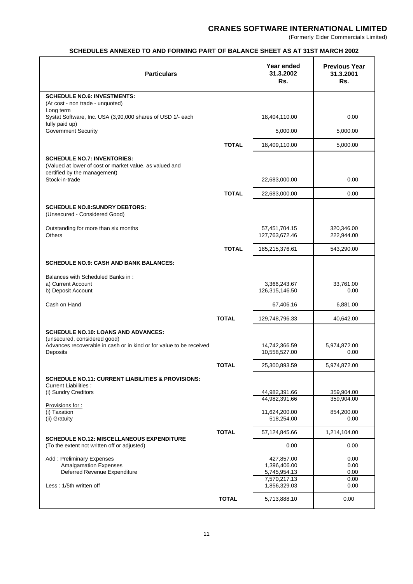(Formerly Eider Commercials Limited)

## **SCHEDULES ANNEXED TO AND FORMING PART OF BALANCE SHEET AS AT 31ST MARCH 2002**

| <b>Particulars</b>                                                                                                            |              | Year ended<br>31.3.2002<br>Rs.  | <b>Previous Year</b><br>31.3.2001<br>Rs. |
|-------------------------------------------------------------------------------------------------------------------------------|--------------|---------------------------------|------------------------------------------|
| <b>SCHEDULE NO.6: INVESTMENTS:</b><br>(At cost - non trade - unquoted)                                                        |              |                                 |                                          |
| Long term                                                                                                                     |              |                                 |                                          |
| Systat Software, Inc. USA (3,90,000 shares of USD 1/- each<br>fully paid up)                                                  |              | 18,404,110.00                   | 0.00                                     |
| <b>Government Security</b>                                                                                                    |              | 5,000.00                        | 5,000.00                                 |
|                                                                                                                               | <b>TOTAL</b> | 18,409,110.00                   | 5,000.00                                 |
| <b>SCHEDULE NO.7: INVENTORIES:</b><br>(Valued at lower of cost or market value, as valued and<br>certified by the management) |              |                                 |                                          |
| Stock-in-trade                                                                                                                |              | 22,683,000.00                   | 0.00                                     |
|                                                                                                                               | <b>TOTAL</b> | 22,683,000.00                   | 0.00                                     |
| <b>SCHEDULE NO.8:SUNDRY DEBTORS:</b><br>(Unsecured - Considered Good)                                                         |              |                                 |                                          |
| Outstanding for more than six months<br><b>Others</b>                                                                         |              | 57,451,704.15<br>127,763,672.46 | 320,346.00<br>222,944.00                 |
|                                                                                                                               | <b>TOTAL</b> | 185,215,376.61                  | 543,290.00                               |
| <b>SCHEDULE NO.9: CASH AND BANK BALANCES:</b>                                                                                 |              |                                 |                                          |
| Balances with Scheduled Banks in:                                                                                             |              |                                 |                                          |
| a) Current Account<br>b) Deposit Account                                                                                      |              | 3,366,243.67<br>126,315,146.50  | 33,761.00<br>0.00                        |
| Cash on Hand                                                                                                                  |              | 67,406.16                       | 6,881.00                                 |
|                                                                                                                               | <b>TOTAL</b> | 129,748,796.33                  | 40,642.00                                |
| <b>SCHEDULE NO.10: LOANS AND ADVANCES:</b>                                                                                    |              |                                 |                                          |
| (unsecured, considered good)<br>Advances recoverable in cash or in kind or for value to be received<br>Deposits               |              | 14,742,366.59<br>10,558,527.00  | 5,974,872.00<br>0.00                     |
|                                                                                                                               | <b>TOTAL</b> | 25,300,893.59                   | 5,974,872.00                             |
| <b>SCHEDULE NO.11: CURRENT LIABILITIES &amp; PROVISIONS:</b><br><b>Current Liabilities:</b>                                   |              |                                 |                                          |
| (i) Sundry Creditors                                                                                                          |              | 44,982,391.66<br>44,982,391.66  | 359,904.00<br>359,904.00                 |
| Provisions for:<br>(i) Taxation                                                                                               |              | 11,624,200.00                   | 854,200.00                               |
| (ii) Gratuity                                                                                                                 |              | 518,254.00                      | 0.00                                     |
| <b>SCHEDULE NO.12: MISCELLANEOUS EXPENDITURE</b>                                                                              | <b>TOTAL</b> | 57,124,845.66                   | 1,214,104.00                             |
| (To the extent not written off or adjusted)                                                                                   |              | 0.00                            | 0.00                                     |
| Add: Preliminary Expenses                                                                                                     |              | 427,857.00                      | 0.00                                     |
| <b>Amalgamation Expenses</b><br>Deferred Revenue Expenditure                                                                  |              | 1,396,406.00<br>5,745,954.13    | 0.00<br>0.00                             |
| Less: 1/5th written off                                                                                                       |              | 7,570,217.13<br>1,856,329.03    | 0.00<br>0.00                             |
|                                                                                                                               | <b>TOTAL</b> | 5,713,888.10                    | 0.00                                     |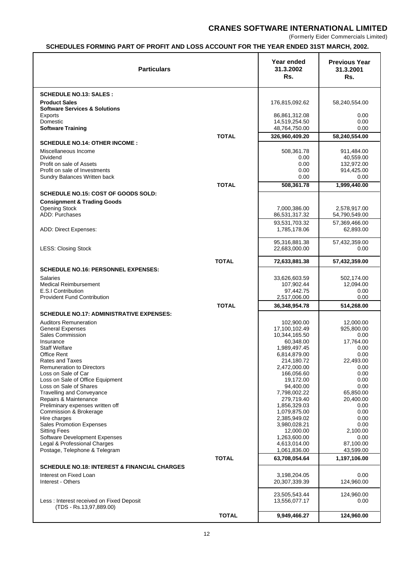(Formerly Eider Commercials Limited)

# **SCHEDULES FORMING PART OF PROFIT AND LOSS ACCOUNT FOR THE YEAR ENDED 31ST MARCH, 2002.**

| <b>Particulars</b>                                            |              | Year ended<br>31.3.2002<br>Rs. | <b>Previous Year</b><br>31.3.2001<br>Rs. |
|---------------------------------------------------------------|--------------|--------------------------------|------------------------------------------|
| <b>SCHEDULE NO.13: SALES:</b>                                 |              |                                |                                          |
| <b>Product Sales</b>                                          |              | 176,815,092.62                 | 58,240,554.00                            |
| <b>Software Services &amp; Solutions</b><br>Exports           |              | 86,861,312.08                  | 0.00                                     |
| Domestic                                                      |              | 14,519,254.50                  | 0.00                                     |
| <b>Software Training</b>                                      |              | 48,764,750.00                  | 0.00                                     |
| <b>SCHEDULE NO.14: OTHER INCOME:</b>                          | <b>TOTAL</b> | 326.960.409.20                 | 58,240,554.00                            |
| Miscellaneous Income                                          |              | 508,361.78                     | 911,484.00                               |
| <b>Dividend</b>                                               |              | 0.00                           | 40,559.00                                |
| Profit on sale of Assets<br>Profit on sale of Investments     |              | 0.00<br>0.00                   | 132,972.00<br>914,425.00                 |
| Sundry Balances Written back                                  |              | 0.00                           | 0.00                                     |
|                                                               | <b>TOTAL</b> | 508,361.78                     | 1,999,440.00                             |
| SCHEDULE NO.15: COST OF GOODS SOLD:                           |              |                                |                                          |
| <b>Consignment &amp; Trading Goods</b>                        |              |                                |                                          |
| <b>Opening Stock</b><br><b>ADD: Purchases</b>                 |              | 7,000,386.00<br>86,531,317.32  | 2,578,917.00<br>54,790,549.00            |
|                                                               |              | 93,531,703.32                  | 57,369,466.00                            |
| ADD: Direct Expenses:                                         |              | 1,785,178.06                   | 62,893.00                                |
|                                                               |              | 95,316,881.38                  | 57,432,359.00                            |
| <b>LESS: Closing Stock</b>                                    |              | 22,683,000.00                  | 0.00                                     |
| <b>TOTAL</b>                                                  |              | 72,633,881.38                  | 57,432,359.00                            |
| <b>SCHEDULE NO.16: PERSONNEL EXPENSES:</b>                    |              |                                |                                          |
| <b>Salaries</b>                                               |              | 33,626,603.59                  | 502,174.00                               |
| <b>Medical Reimbursement</b><br>E.S.I Contribution            |              | 107,902.44<br>97,442.75        | 12,094.00<br>0.00                        |
| <b>Provident Fund Contribution</b>                            |              | 2,517,006.00                   | 0.00                                     |
|                                                               | <b>TOTAL</b> | 36,348,954.78                  | 514,268.00                               |
| <b>SCHEDULE NO.17: ADMINISTRATIVE EXPENSES:</b>               |              |                                |                                          |
| <b>Auditors Remuneration</b>                                  |              | 102,900.00                     | 12.000.00                                |
| <b>General Expenses</b><br><b>Sales Commission</b>            |              | 17,100,102.49<br>10,344,165.50 | 925,800.00<br>0.00                       |
| Insurance                                                     |              | 60,348.00                      | 17,764.00                                |
| <b>Staff Welfare</b><br><b>Office Rent</b>                    |              | 1,989,497.45<br>6,814,879.00   | 0.00<br>0.00                             |
| Rates and Taxes                                               |              | 214,180.72                     | 22,493.00                                |
| <b>Remuneration to Directors</b>                              |              | 2,472,000.00                   | 0.00                                     |
| Loss on Sale of Car<br>Loss on Sale of Office Equipment       |              | 166,056.60<br>19,172.00        | 0.00<br>0.00                             |
| Loss on Sale of Shares                                        |              | 94,400.00                      | 0.00                                     |
| <b>Travelling and Conveyance</b><br>Repairs & Maintenance     |              | 7,798,002.22<br>279,719.40     | 65,850.00<br>20,400.00                   |
| Preliminary expenses written off                              |              | 1,856,329.03                   | 0.00                                     |
| Commission & Brokerage                                        |              | 1,079,875.00                   | 0.00                                     |
| Hire charges<br><b>Sales Promotion Expenses</b>               |              | 2,385,949.02<br>3,980,028.21   | 0.00<br>0.00                             |
| <b>Sitting Fees</b>                                           |              | 12,000.00                      | 2,100.00                                 |
| <b>Software Development Expenses</b>                          |              | 1,263,600.00                   | 0.00                                     |
| Legal & Professional Charges<br>Postage, Telephone & Telegram |              | 4,613,014.00<br>1,061,836.00   | 87,100.00<br>43,599.00                   |
| <b>TOTAL</b>                                                  |              | 63,708,054.64                  | 1,197,106.00                             |
| <b>SCHEDULE NO.18: INTEREST &amp; FINANCIAL CHARGES</b>       |              |                                |                                          |
| Interest on Fixed Loan                                        |              | 3,198,204.05                   | 0.00                                     |
| Interest - Others                                             |              | 20,307,339.39                  | 124,960.00                               |
| Less: Interest received on Fixed Deposit                      |              | 23,505,543.44<br>13,556,077.17 | 124,960.00<br>0.00                       |
| (TDS - Rs.13,97,889.00)                                       |              |                                |                                          |
|                                                               | <b>TOTAL</b> | 9,949,466.27                   | 124,960.00                               |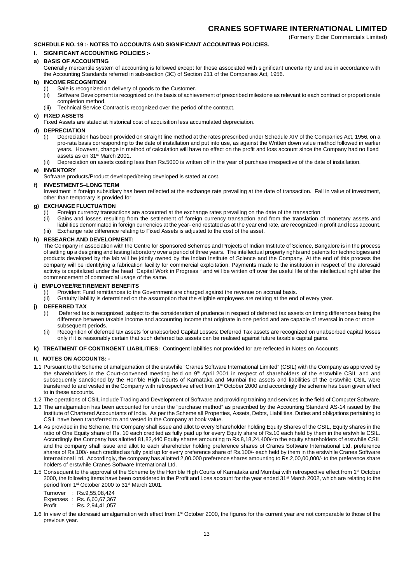## **SCHEDULE NO. 19 :- NOTES TO ACCOUNTS AND SIGNIFICANT ACCOUNTING POLICIES.**

#### **I. SIGNIFICANT ACCOUNTING POLICIES :-**

#### **a) BASIS OF ACCOUNTING**

Generally mercantile system of accounting is followed except for those associated with significant uncertainty and are in accordance with the Accounting Standards referred in sub-section (3C) of Section 211 of the Companies Act, 1956.

#### **b) INCOME RECOGNITION**

- Sale is recognized on delivery of goods to the Customer.
- (ii) Software Development is recognized on the basis of achievement of prescribed milestone as relevant to each contract or proportionate completion method.
- (iii) Technical Service Contract is recognized over the period of the contract.

## **c) FIXED ASSETS**

Fixed Assets are stated at historical cost of acquisition less accumulated depreciation.

### **d) DEPRECIATION**

- (i) Depreciation has been provided on straight line method at the rates prescribed under Schedule XIV of the Companies Act, 1956, on a pro-rata basis corresponding to the date of installation and put into use, as against the Written down value method followed in earlier years. However, change in method of calculation will have no effect on the profit and loss account since the Company had no fixed assets as on 31st March 2001.
- (ii) Depreciation on assets costing less than Rs.5000 is written off in the year of purchase irrespective of the date of installation.

## **e) INVENTORY**

Software products/Product developed/being developed is stated at cost.

#### **f) INVESTMENTS–LONG TERM**

Investment in foreign subsidiary has been reflected at the exchange rate prevailing at the date of transaction. Fall in value of investment, other than temporary is provided for.

#### **g) EXCHANGE FLUCTUATION**

- (i) Foreign currency transactions are accounted at the exchange rates prevailing on the date of the transaction
- (ii) Gains and losses resulting from the settlement of foreign currency transaction and from the translation of monetary assets and liabilities denominated in foreign currencies at the year- end restated as at the year end rate, are recognized in profit and loss account. (iii) Exchange rate difference relating to Fixed Assets is adjusted to the cost of the asset.

#### **h) RESEARCH AND DEVELOPMENT:**

The Company in association with the Centre for Sponsored Schemes and Projects of Indian Institute of Science, Bangalore is in the process of setting up a designing and testing laboratory over a period of three years. The intellectual property rights and patents for technologies and products developed by the lab will be jointly owned by the Indian Institute of Science and the Company. At the end of this process the company will be identifying a fabrication facility for commercial exploitation. Payments made to the institution in respect of the aforesaid activity is capitalized under the head "Capital Work in Progress " and will be written off over the useful life of the intellectual right after the commencement of commercial usage of the same.

#### **i) EMPLOYEE/RETIREMENT BENEFITS**

- (i) Provident Fund remittances to the Government are charged against the revenue on accrual basis.
- (ii) Gratuity liability is determined on the assumption that the eligible employees are retiring at the end of every year.

## **j) DEFERRED TAX**

- (i) Deferred tax is recognized, subject to the consideration of prudence in respect of deferred tax assets on timing differences being the difference between taxable income and accounting income that originate in one period and are capable of reversal in one or more subsequent periods.
- (ii) Recognition of deferred tax assets for unabsorbed Capital Losses: Deferred Tax assets are recognized on unabsorbed capital losses only if it is reasonably certain that such deferred tax assets can be realised against future taxable capital gains.

#### **k) TREATMENT OF CONTINGENT LIABILITIES:** Contingent liabilities not provided for are reflected in Notes on Accounts.

#### **II. NOTES ON ACCOUNTS: -**

- 1.1 Pursuant to the Scheme of amalgamation of the erstwhile "Cranes Software International Limited" (CSIL) with the Company as approved by the shareholders in the Court-convened meeting held on 9<sup>th</sup> April 2001 in respect of shareholders of the erstwhile CSIL and and subsequently sanctioned by the Hon'ble High Courts of Karnataka and Mumbai the assets and liabilities of the erstwhile CSIL were transferred to and vested in the Company with retrospective effect from 1<sup>st</sup> October 2000 and accordingly the scheme has been given effect to in these accounts.
- 1.2 The operations of CSIL include Trading and Development of Software and providing training and services in the field of Computer Software.
- 1.3 The amalgamation has been accounted for under the "purchase method" as prescribed by the Accounting Standard AS-14 issued by the Institute of Chartered Accountants of India. As per the Scheme all Properties, Assets, Debts, Liabilities, Duties and obligations pertaining to CSIL have been transferred to and vested in the Company at book value.
- 1.4 As provided in the Scheme, the Company shall issue and allot to every Shareholder holding Equity Shares of the CSIL, Equity shares in the ratio of One Equity share of Rs. 10 each credited as fully paid up for every Equity share of Rs.10 each held by them in the erstwhile CSIL. Accordingly the Company has allotted 81,82,440 Equity shares amounting to Rs.8,18,24,400/-to the equity shareholders of erstwhile CSIL and the company shall issue and allot to each shareholder holding preference shares of Cranes Software International Ltd. preference shares of Rs.100/- each credited as fully paid up for every preference share of Rs.100/- each held by them in the erstwhile Cranes Software International Ltd. Accordingly, the company has allotted 2,00,000 preference shares amounting to Rs.2,00,00,000/- to the preference share holders of erstwhile Cranes Software International Ltd.
- 1.5 Consequent to the approval of the Scheme by the Hon'ble High Courts of Karnataka and Mumbai with retrospective effect from 1<sup>st</sup> October 2000, the following items have been considered in the Profit and Loss account for the year ended 31<sup>st</sup> March 2002, which are relating to the period from 1<sup>st</sup> October 2000 to 31<sup>st</sup> March 2001.

Turnover : Rs.9,55,08,424 Expenses : Rs. 6,60,67,367<br>Profit : Rs. 2,94,41,057

 $:$  Rs. 2,94,41,057

1.6 In view of the aforesaid amalgamation with effect from 1<sup>st</sup> October 2000, the figures for the current year are not comparable to those of the previous year.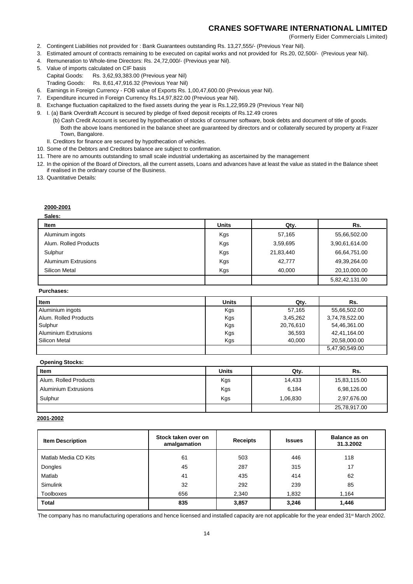(Formerly Eider Commercials Limited)

- 2. Contingent Liabilities not provided for : Bank Guarantees outstanding Rs. 13,27,555/- (Previous Year Nil).
- 3. Estimated amount of contracts remaining to be executed on capital works and not provided for Rs.20, 02,500/- (Previous year Nil).
- 4. Remuneration to Whole-time Directors: Rs. 24,72,000/- (Previous year Nil).
- 5. Value of imports calculated on CIF basis Capital Goods: Rs. 3,62,93,383.00 (Previous year Nil)
	- Trading Goods: Rs. 8,61,47,916.32 (Previous Year Nil)
- 6. Earnings in Foreign Currency FOB value of Exports Rs. 1,00,47,600.00 (Previous year Nil).
- 7. Expenditure incurred in Foreign Currency Rs.14,97,822.00 (Previous year Nil).
- 8. Exchange fluctuation capitalized to the fixed assets during the year is Rs.1,22,959.29 (Previous Year Nil)
- 9. I. (a) Bank Overdraft Account is secured by pledge of fixed deposit receipts of Rs.12.49 crores
	- (b) Cash Credit Account is secured by hypothecation of stocks of consumer software, book debts and document of title of goods. Both the above loans mentioned in the balance sheet are guaranteed by directors and or collaterally secured by property at Frazer Town, Bangalore.
	- II. Creditors for finance are secured by hypothecation of vehicles.
- 10. Some of the Debtors and Creditors balance are subject to confirmation.
- 11. There are no amounts outstanding to small scale industrial undertaking as ascertained by the management
- 12. In the opinion of the Board of Directors, all the current assets, Loans and advances have at least the value as stated in the Balance sheet if realised in the ordinary course of the Business.

13. Quantitative Details:

## **2000-2001**

| Sales:                     |              |           |                |
|----------------------------|--------------|-----------|----------------|
| Item                       | <b>Units</b> | Qty.      | Rs.            |
| Aluminum ingots            | Kgs          | 57,165    | 55,66,502.00   |
| Alum. Rolled Products      | Kgs          | 3,59,695  | 3,90,61,614.00 |
| Sulphur                    | Kgs          | 21,83,440 | 66,64,751.00   |
| <b>Aluminum Extrusions</b> | Kgs          | 42,777    | 49,39,264.00   |
| Silicon Metal              | Kgs          | 40.000    | 20,10,000.00   |
|                            |              |           | 5,82,42,131.00 |

#### **Purchases:**

| <b>Item</b>                 | <b>Units</b> | Qty.      | Rs.            |
|-----------------------------|--------------|-----------|----------------|
| Aluminium ingots            | Kgs          | 57,165    | 55,66,502.00   |
| Alum, Rolled Products       | Kgs          | 3.45.262  | 3,74,78,522.00 |
| Sulphur                     | Kgs          | 20,76,610 | 54,46,361.00   |
| <b>Aluminium Extrusions</b> | Kgs          | 36.593    | 42,41,164.00   |
| Silicon Metal               | Kgs          | 40.000    | 20.58.000.00   |
|                             |              |           | 5,47,90,549.00 |

#### **Opening Stocks:**

| Item                        | <b>Units</b> | Qty.     | Rs.          |
|-----------------------------|--------------|----------|--------------|
| Alum, Rolled Products       | Kgs          | 14,433   | 15,83,115.00 |
| <b>Aluminium Extrusions</b> | Kgs          | 6,184    | 6,98,126.00  |
| Sulphur                     | Kgs          | 1,06,830 | 2,97,676.00  |
|                             |              |          | 25,78,917.00 |

### **2001-2002**

| <b>Item Description</b> | Stock taken over on<br>amalgamation | <b>Receipts</b> | <b>Issues</b> | Balance as on<br>31.3.2002 |
|-------------------------|-------------------------------------|-----------------|---------------|----------------------------|
| Matlab Media CD Kits    | 61                                  | 503             | 446           | 118                        |
| Dongles                 | 45                                  | 287             | 315           | 17                         |
| Matlab                  | 41                                  | 435             | 414           | 62                         |
| <b>Simulink</b>         | 32                                  | 292             | 239           | 85                         |
| <b>Toolboxes</b>        | 656                                 | 2,340           | 1,832         | 1.164                      |
| <b>Total</b>            | 835                                 | 3,857           | 3,246         | 1,446                      |

The company has no manufacturing operations and hence licensed and installed capacity are not applicable for the year ended 31<sup>st</sup> March 2002.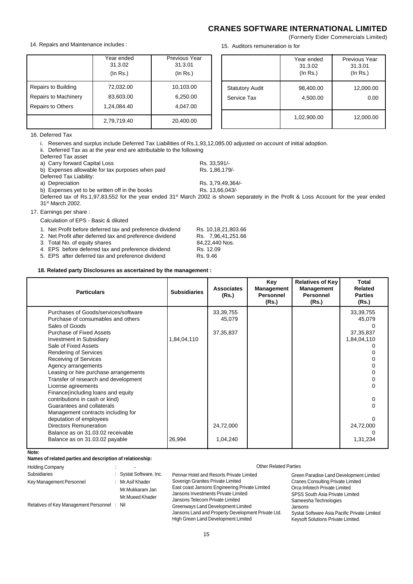## **CRANES SOFTWARE INTERNATIONAL LIMITED** (Formerly Eider Commercials Limited)

|                          | Year ended  | Previous Year |
|--------------------------|-------------|---------------|
|                          | 31.3.02     | 31.3.01       |
|                          | (ln Rs.)    | (ln Rs.)      |
| Repairs to Building      | 72,032.00   | 10,103.00     |
| Repairs to Machinery     | 83,603.00   | 6,250.00      |
| <b>Repairs to Others</b> | 1,24,084.40 | 4,047.00      |
|                          | 2,79,719.40 | 20,400.00     |

15. Auditors remuneration is for

|                                       | Year ended<br>31.3.02<br>$($ ln Rs. $)$ | Previous Year<br>31.3.01<br>(ln Rs.) |
|---------------------------------------|-----------------------------------------|--------------------------------------|
| <b>Statutory Audit</b><br>Service Tax | 98,400.00<br>4,500.00                   | 12,000.00<br>0.00                    |
|                                       | 1,02,900.00                             | 12,000.00                            |

16. Deferred Tax

i. Reserves and surplus include Deferred Tax Liabilities of Rs.1,93,12,085.00 adjusted on account of initial adoption.

ii. Deferred Tax as at the year end are attributable to the following

Deferred Tax asset

a) Carry forward Capital Loss<br>
b) Expenses allowable for tax purposes when paid<br>
Rs. 1.86,179/b) Expenses allowable for tax purposes when paid

Deferred Tax Liability:<br>a) Depreciation

b) Expenses yet to be written off in the books Rs. 13,66,043/-

Deferred tax of Rs.1,97,83,552 for the year ended 31<sup>st</sup> March 2002 is shown separately in the Profit & Loss Account for the year ended 31st March 2002.

Rs. 3,79,49,364/-

#### 17. Earnings per share :

Calculation of EPS - Basic & diluted

| 1. Net Profit before deferred tax and preference dividend | Rs. 10,18,21,803.66 |
|-----------------------------------------------------------|---------------------|
| 2. Net Profit after deferred tax and preference dividend  | Rs. 7.96.41.251.66  |
| 3. Total No. of equity shares                             | 84.22.440 Nos.      |

- 3. Total No. of equity shares
- 
- 4. EPS before deferred tax and preference dividend Rs. 12.09
- 5. EPS after deferred tax and preference dividend Rs. 9.46

#### **18. Related party Disclosures as ascertained by the management :**

| <b>Particulars</b>                                                                                                                             | <b>Subsidiaries</b> | <b>Associates</b><br>(Rs.)           | Key<br>Management<br><b>Personnel</b><br>(Rs.) | Relatives of Key<br>Management<br><b>Personnel</b><br>(Rs.) | Total<br>Related<br><b>Parties</b><br>(Rs.) |
|------------------------------------------------------------------------------------------------------------------------------------------------|---------------------|--------------------------------------|------------------------------------------------|-------------------------------------------------------------|---------------------------------------------|
| Purchases of Goods/services/software<br>Purchase of consumables and others<br>Sales of Goods<br><b>Purchase of Fixed Assets</b>                |                     | 33, 39, 755<br>45,079<br>37, 35, 837 |                                                |                                                             | 33,39,755<br>45,079<br>37, 35, 837          |
| <b>Investment in Subsidiary</b><br>Sale of Fixed Assets<br><b>Rendering of Services</b><br><b>Receiving of Services</b><br>Agency arrangements | 1,84,04,110         |                                      |                                                |                                                             | 1,84,04,110                                 |
| Leasing or hire purchase arrangements<br>Transfer of research and development<br>License agreements<br>Finance (including loans and equity     |                     |                                      |                                                |                                                             |                                             |
| contributions in cash or kind)<br>Guarantees and collaterals<br>Management contracts including for                                             |                     |                                      |                                                |                                                             |                                             |
| deputation of employees<br><b>Directors Remuneration</b><br>Balance as on 31,03,02 receivable<br>Balance as on 31.03.02 payable                | 26,994              | 24,72,000<br>1,04,240                |                                                |                                                             | 24,72,000<br>1,31,234                       |

**Note:**

#### **Names of related parties and description of relationship:**

| <b>Holding Company</b>                      |  |                                                        | Other Related Parties                              |                                              |  |  |
|---------------------------------------------|--|--------------------------------------------------------|----------------------------------------------------|----------------------------------------------|--|--|
| Subsidiaries                                |  | Systat Software, Inc.                                  | Pennar Hotel and Resorts Private Limited           | Green Paradise Land Development Limited      |  |  |
| Key Management Personnel                    |  | Soverign Granites Private Limited<br>: Mr. Asif Khader |                                                    | <b>Cranes Consulting Private Limited</b>     |  |  |
|                                             |  | Mr.Mukkaram Jan                                        | East coast Jansons Engineering Private Limited     | Orca Infotech Private Limited                |  |  |
|                                             |  | Mr.Mueed Khader                                        | Jansons Investments Private Limited                | <b>SPSS South Asia Private Limited</b>       |  |  |
|                                             |  |                                                        | Jansons Telecom Private Limited                    | Sameesha Technologies                        |  |  |
| Relatives of Key Management Personnel : Nil |  | Greenways Land Development Limited                     | Jansons                                            |                                              |  |  |
|                                             |  |                                                        | Jansons Land and Property Development Private Ltd. | Systat Software Asia Pacific Private Limited |  |  |
|                                             |  |                                                        | High Green Land Development Limited                | Keysoft Solutions Private Limited.           |  |  |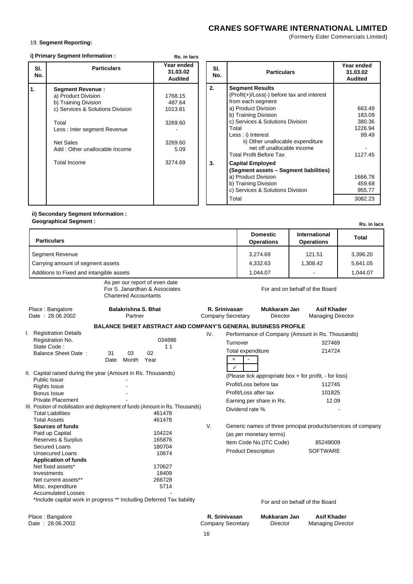(Formerly Eider Commercials Limited)

## 19. **Segment Reporting:**

|  |  |  | i) Primary Segment Information: |  |
|--|--|--|---------------------------------|--|
|--|--|--|---------------------------------|--|

| <b>Particulars</b><br>SI.<br>No.                                                                                                                                                                                                        | Year ended<br>31.03.02<br><b>Audited</b>                              | SI.<br>No. | <b>Particulars</b>                                                                                                                                                                                                                                                                                                                                                                                                                                                                | Year ended<br>31.03.02<br><b>Audited</b>                                                            |
|-----------------------------------------------------------------------------------------------------------------------------------------------------------------------------------------------------------------------------------------|-----------------------------------------------------------------------|------------|-----------------------------------------------------------------------------------------------------------------------------------------------------------------------------------------------------------------------------------------------------------------------------------------------------------------------------------------------------------------------------------------------------------------------------------------------------------------------------------|-----------------------------------------------------------------------------------------------------|
| $\mathbf{1}$<br><b>Segment Revenue:</b><br>a) Product Division<br>b) Training Division<br>c) Services & Solutions Division<br>Total<br>Less: Inter segment Revenue<br><b>Net Sales</b><br>Add: Other unallocable Income<br>Total Income | 1768.15<br>487.64<br>1013.81<br>3269.60<br>3269.60<br>5.09<br>3274.69 | 2.<br>3.   | <b>Segment Results</b><br>(Profit(+)/Loss(-) before tax and interest<br>from each segment<br>a) Product Division<br>b) Training Division<br>c) Services & Solutions Division<br>Total<br>Less : i) Interest<br>ii) Other unallocable expenditure<br>net off unallocable income<br><b>Total Profit Before Tax</b><br><b>Capital Employed</b><br>(Segment assets – Segment liabilities)<br>a) Product Division<br>b) Training Division<br>c) Services & Solutions Division<br>Total | 663.49<br>183.09<br>380.36<br>1226.94<br>99.49<br>1127.45<br>1666.78<br>459.68<br>955.77<br>3082.23 |

**Rs. in lacs**

#### **ii) Secondary Segment Information : Geographical Segment :**

| Geographical Segment :                                                                                                                    |                                                                                                            |                                           |                                                                                                                                                   |                                                | Rs. in lacs  |
|-------------------------------------------------------------------------------------------------------------------------------------------|------------------------------------------------------------------------------------------------------------|-------------------------------------------|---------------------------------------------------------------------------------------------------------------------------------------------------|------------------------------------------------|--------------|
| <b>Particulars</b>                                                                                                                        |                                                                                                            |                                           | <b>Domestic</b><br><b>Operations</b>                                                                                                              | International<br><b>Operations</b>             | <b>Total</b> |
| Segment Revenue                                                                                                                           |                                                                                                            |                                           | 3,274.69<br>121.51<br>3,396.20                                                                                                                    |                                                |              |
| Carrying amount of segment assets                                                                                                         |                                                                                                            |                                           | 4,332.63                                                                                                                                          | 1,308.42                                       | 5,641.05     |
| Additions to Fixed and intangible assets                                                                                                  |                                                                                                            |                                           | 1,044.07                                                                                                                                          |                                                | 1,044.07     |
|                                                                                                                                           | As per our report of even date<br>For S. Janardhan & Associates<br><b>Chartered Accountants</b>            |                                           |                                                                                                                                                   | For and on behalf of the Board                 |              |
| Place: Bangalore<br>Date: 28.06.2002                                                                                                      | <b>Balakrishna S. Bhat</b><br>Partner                                                                      | R. Srinivasan<br><b>Company Secretary</b> | Mukkaram Jan<br>Director                                                                                                                          | <b>Asif Khader</b><br><b>Managing Director</b> |              |
|                                                                                                                                           | <b>BALANCE SHEET ABSTRACT AND COMPANY'S GENERAL BUSINESS PROFILE</b>                                       |                                           |                                                                                                                                                   |                                                |              |
| <b>Registration Details</b><br>I.<br>Registration No.<br>State Code:<br><b>Balance Sheet Date:</b>                                        | 034886<br>11<br>02<br>31<br>03<br>Year<br>Date<br>Month                                                    | IV.<br>$+$<br>✓                           | Performance of Company (Amount in Rs. Thousands)<br>Turnover<br>Total expenditure                                                                 | 327469<br>214724                               |              |
| <b>Public Issue</b><br><b>Rights Issue</b><br>Bonus Issue<br><b>Private Placement</b>                                                     | II. Capital raised during the year (Amount in Rs. Thousands)                                               |                                           | (Please tick appropriate box + for profit, - for loss)<br>Profit/Loss before tax<br>Profit/Loss after tax<br>Earning per share in Rs.             | 112745<br>101825<br>12.09                      |              |
| <b>Total Liabilities</b><br><b>Total Assets</b>                                                                                           | III. Position of mobilisation and deployment of funds (Amount in Rs. Thousands)<br>461478<br>461478        |                                           | Dividend rate %                                                                                                                                   |                                                |              |
| <b>Sources of funds</b><br>Paid up Capital<br>Reserves & Surplus<br>Secured Loans<br><b>Unsecured Loans</b>                               | 104224<br>165876<br>180704<br>10674                                                                        | V.                                        | Generic names of three principal products/services of company<br>(as per monetary terms)<br>Item Code No.(ITC Code)<br><b>Product Description</b> | 85249009<br><b>SOFTWARE</b>                    |              |
| <b>Application of funds</b><br>Net fixed assets*<br>Investments<br>Net current assets**<br>Misc. expenditure<br><b>Accumulated Losses</b> | 170627<br>18409<br>266728<br>5714<br>*Include capital work in progress ** Including Deferred Tax liability |                                           |                                                                                                                                                   | For and on behalf of the Board                 |              |
|                                                                                                                                           |                                                                                                            |                                           |                                                                                                                                                   |                                                |              |
| Place: Bangalore<br>Date: 28.06.2002                                                                                                      |                                                                                                            | R. Srinivasan<br><b>Company Secretary</b> | Mukkaram Jan<br>Director                                                                                                                          | <b>Asif Khader</b><br><b>Managing Director</b> |              |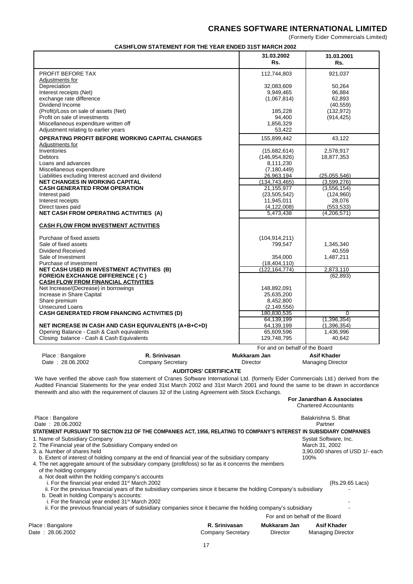(Formerly Eider Commercials Limited)

| <b>CASHELOW STATEMENT FOR THE YEAR ENDED 31ST MARCH 2002</b> |  |
|--------------------------------------------------------------|--|

|                                                                                                                                                                                                                                                                                                                                                                                    | <b>CASHFLOW STATEMENT FOR THE YEAR ENDED 31ST MARCH 2002</b>                                                      |                              |                                |                                         |
|------------------------------------------------------------------------------------------------------------------------------------------------------------------------------------------------------------------------------------------------------------------------------------------------------------------------------------------------------------------------------------|-------------------------------------------------------------------------------------------------------------------|------------------------------|--------------------------------|-----------------------------------------|
|                                                                                                                                                                                                                                                                                                                                                                                    |                                                                                                                   |                              | 31.03.2002<br>Rs.              | 31.03.2001<br>Rs.                       |
| PROFIT BEFORE TAX<br><b>Adjustments for</b>                                                                                                                                                                                                                                                                                                                                        |                                                                                                                   |                              | 112,744,803                    | 921,037                                 |
| Depreciation                                                                                                                                                                                                                                                                                                                                                                       |                                                                                                                   |                              | 32,083,609                     | 50,264                                  |
| Interest receipts (Net)                                                                                                                                                                                                                                                                                                                                                            |                                                                                                                   |                              | 9,949,465                      | 96,884                                  |
| exchange rate difference                                                                                                                                                                                                                                                                                                                                                           |                                                                                                                   |                              | (1,067,814)                    | 62,893                                  |
| Dividend Income                                                                                                                                                                                                                                                                                                                                                                    |                                                                                                                   |                              |                                | (40, 559)                               |
| (Profit)/Loss on sale of assets (Net)                                                                                                                                                                                                                                                                                                                                              |                                                                                                                   |                              | 185,228                        | (132, 972)                              |
| Profit on sale of investments                                                                                                                                                                                                                                                                                                                                                      |                                                                                                                   |                              | 94,400                         | (914, 425)                              |
| Miscellaneous expenditure written off                                                                                                                                                                                                                                                                                                                                              |                                                                                                                   |                              | 1,856,329                      |                                         |
| Adjustment relating to earlier years                                                                                                                                                                                                                                                                                                                                               |                                                                                                                   |                              | 53,422                         |                                         |
| <b>OPERATING PROFIT BEFORE WORKING CAPITAL CHANGES</b>                                                                                                                                                                                                                                                                                                                             |                                                                                                                   |                              | 155,899,442                    | 43,122                                  |
| Adjustments for                                                                                                                                                                                                                                                                                                                                                                    |                                                                                                                   |                              |                                |                                         |
| Inventories                                                                                                                                                                                                                                                                                                                                                                        |                                                                                                                   |                              | (15,682,614)                   | 2,578,917                               |
| <b>Debtors</b>                                                                                                                                                                                                                                                                                                                                                                     |                                                                                                                   |                              | (146, 954, 826)                | 18,877,353                              |
| Loans and advances                                                                                                                                                                                                                                                                                                                                                                 |                                                                                                                   |                              | 8,111,230                      |                                         |
|                                                                                                                                                                                                                                                                                                                                                                                    |                                                                                                                   |                              | (7, 180, 449)                  |                                         |
| Miscellaneous expenditure                                                                                                                                                                                                                                                                                                                                                          |                                                                                                                   |                              |                                |                                         |
| Liabilities excluding Interest accrued and dividend<br><b>NET CHANGES IN WORKING CAPITAL</b>                                                                                                                                                                                                                                                                                       |                                                                                                                   |                              | 26,963,194                     | (25,055,546)                            |
| <b>CASH GENERATED FROM OPERATION</b>                                                                                                                                                                                                                                                                                                                                               |                                                                                                                   |                              | (134, 743, 465)<br>21,155,977  | (3,599,276)<br>(3, 556, 154)            |
|                                                                                                                                                                                                                                                                                                                                                                                    |                                                                                                                   |                              | (23, 505, 542)                 |                                         |
| Interest paid                                                                                                                                                                                                                                                                                                                                                                      |                                                                                                                   |                              |                                | (124,960)                               |
| Interest receipts                                                                                                                                                                                                                                                                                                                                                                  |                                                                                                                   |                              | 11,945,011                     | 28,076                                  |
| Direct taxes paid                                                                                                                                                                                                                                                                                                                                                                  |                                                                                                                   |                              | (4, 122, 008)                  | (553, 533)                              |
| <b>NET CASH FROM OPERATING ACTIVITIES (A)</b>                                                                                                                                                                                                                                                                                                                                      |                                                                                                                   |                              | 5,473,438                      | (4,206,571)                             |
| <b>CASH FLOW FROM INVESTMENT ACTIVITIES</b>                                                                                                                                                                                                                                                                                                                                        |                                                                                                                   |                              |                                |                                         |
| Purchase of fixed assets                                                                                                                                                                                                                                                                                                                                                           |                                                                                                                   |                              | (104, 914, 211)                |                                         |
| Sale of fixed assets                                                                                                                                                                                                                                                                                                                                                               |                                                                                                                   |                              | 799,547                        | 1,345,340                               |
| Dividend Received                                                                                                                                                                                                                                                                                                                                                                  |                                                                                                                   |                              |                                | 40,559                                  |
| Sale of Investment                                                                                                                                                                                                                                                                                                                                                                 |                                                                                                                   |                              | 354,000                        | 1,487,211                               |
| Purchase of investment                                                                                                                                                                                                                                                                                                                                                             |                                                                                                                   |                              | (18, 404, 110)                 |                                         |
| NET CASH USED IN INVESTMENT ACTIVITIES (B)                                                                                                                                                                                                                                                                                                                                         |                                                                                                                   |                              | (122, 164, 774)                | 2,873,110                               |
| <b>FOREIGN EXCHANGE DIFFERENCE (C)</b>                                                                                                                                                                                                                                                                                                                                             |                                                                                                                   |                              |                                | (62, 893)                               |
| <b>CASH FLOW FROM FINANCIAL ACTIVITIES</b>                                                                                                                                                                                                                                                                                                                                         |                                                                                                                   |                              |                                |                                         |
| Net Increase/(Decrease) in borrowings                                                                                                                                                                                                                                                                                                                                              |                                                                                                                   |                              | 148,892,091                    |                                         |
| Increase in Share Capital                                                                                                                                                                                                                                                                                                                                                          |                                                                                                                   |                              | 25,635,200                     |                                         |
| Share premium                                                                                                                                                                                                                                                                                                                                                                      |                                                                                                                   |                              | 8,452,800                      |                                         |
| <b>Unsecured Loans</b>                                                                                                                                                                                                                                                                                                                                                             |                                                                                                                   |                              | (2, 149, 556)                  |                                         |
| <b>CASH GENERATED FROM FINANCING ACTIVITIES (D)</b>                                                                                                                                                                                                                                                                                                                                |                                                                                                                   |                              | 180,830,535                    | $\overline{0}$                          |
|                                                                                                                                                                                                                                                                                                                                                                                    |                                                                                                                   |                              | 64,139,199                     | (1,396,354)                             |
| NET INCREASE IN CASH AND CASH EQUIVALENTS (A+B+C+D)                                                                                                                                                                                                                                                                                                                                |                                                                                                                   |                              | 64,139,199                     | (1,396,354)                             |
| Opening Balance - Cash & Cash equivalents                                                                                                                                                                                                                                                                                                                                          |                                                                                                                   |                              | 65,609,596                     | 1,436,996                               |
| Closing balance - Cash & Cash Equivalents                                                                                                                                                                                                                                                                                                                                          |                                                                                                                   |                              | 129,748,795                    | 40,642                                  |
|                                                                                                                                                                                                                                                                                                                                                                                    |                                                                                                                   |                              |                                |                                         |
|                                                                                                                                                                                                                                                                                                                                                                                    |                                                                                                                   |                              | For and on behalf of the Board |                                         |
| Place: Bangalore                                                                                                                                                                                                                                                                                                                                                                   | R. Srinivasan                                                                                                     |                              | Mukkaram Jan                   | Asif Khader                             |
| Date: 28.06.2002                                                                                                                                                                                                                                                                                                                                                                   | Company Secretary                                                                                                 | Director                     |                                | <b>Managing Director</b>                |
|                                                                                                                                                                                                                                                                                                                                                                                    |                                                                                                                   | <b>AUDITORS' CERTIFICATE</b> |                                |                                         |
| We have verified the above cash flow statement of Cranes Software International Ltd. (formerly Eider Commercials Ltd.) derived from the<br>Audited Financial Statements for the year ended 31st March 2002 and 31st March 2001 and found the same to be drawn in accordance<br>therewith and also with the requirement of clauses 32 of the Listing Agreement with Stock Exchangs. |                                                                                                                   |                              |                                | For Janardhan & Associates              |
|                                                                                                                                                                                                                                                                                                                                                                                    |                                                                                                                   |                              |                                | <b>Chartered Accountants</b>            |
| Place: Bangalore<br>Date: 28.06.2002                                                                                                                                                                                                                                                                                                                                               |                                                                                                                   |                              |                                | Balakrishna S. Bhat<br>Partner          |
| STATEMENT PURSUANT TO SECTION 212 OF THE COMPANIES ACT, 1956, RELATING TO COMPANY'S INTEREST IN SUBSIDIARY COMPANIES                                                                                                                                                                                                                                                               |                                                                                                                   |                              |                                |                                         |
|                                                                                                                                                                                                                                                                                                                                                                                    |                                                                                                                   |                              |                                |                                         |
| 1. Name of Subsidiary Company                                                                                                                                                                                                                                                                                                                                                      |                                                                                                                   |                              |                                | Systat Software, Inc.                   |
| 2. The Financial year of the Subsidiary Company ended on<br>3. a. Number of shares held                                                                                                                                                                                                                                                                                            |                                                                                                                   |                              |                                | March 31, 2002                          |
| b. Extent of interest of holding company at the end of financial year of the subsidiary company                                                                                                                                                                                                                                                                                    |                                                                                                                   |                              |                                | 3,90,000 shares of USD 1/- each<br>100% |
| 4. The net aggregate amount of the subsidiary company (profit/loss) so far as it concerns the members                                                                                                                                                                                                                                                                              |                                                                                                                   |                              |                                |                                         |
| of the holding company                                                                                                                                                                                                                                                                                                                                                             |                                                                                                                   |                              |                                |                                         |
| a. Not dealt within the holding company's accounts                                                                                                                                                                                                                                                                                                                                 |                                                                                                                   |                              |                                |                                         |
| i. For the financial year ended 31 <sup>st</sup> March 2002                                                                                                                                                                                                                                                                                                                        |                                                                                                                   |                              |                                | (Rs.29.65 Lacs)                         |
|                                                                                                                                                                                                                                                                                                                                                                                    | ii. For the previous financial years of the subsidiary companies since it became the holding Company's subsidiary |                              |                                |                                         |
| b. Dealt in holding Company's accounts:                                                                                                                                                                                                                                                                                                                                            |                                                                                                                   |                              |                                |                                         |
| i. For the financial year ended 31 <sup>st</sup> March 2002                                                                                                                                                                                                                                                                                                                        |                                                                                                                   |                              |                                |                                         |
|                                                                                                                                                                                                                                                                                                                                                                                    | ii. For the previous financial years of subsidiary companies since it became the holding company's subsidiary     |                              |                                |                                         |
|                                                                                                                                                                                                                                                                                                                                                                                    |                                                                                                                   |                              |                                | For and on behalf of the Board          |
| Place: Bangalore                                                                                                                                                                                                                                                                                                                                                                   |                                                                                                                   | R. Srinivasan                | Mukkaram Jan                   | <b>Asif Khader</b>                      |
|                                                                                                                                                                                                                                                                                                                                                                                    |                                                                                                                   |                              |                                |                                         |
| Date: 28.06.2002                                                                                                                                                                                                                                                                                                                                                                   |                                                                                                                   | <b>Company Secretary</b>     | Director                       | <b>Managing Director</b>                |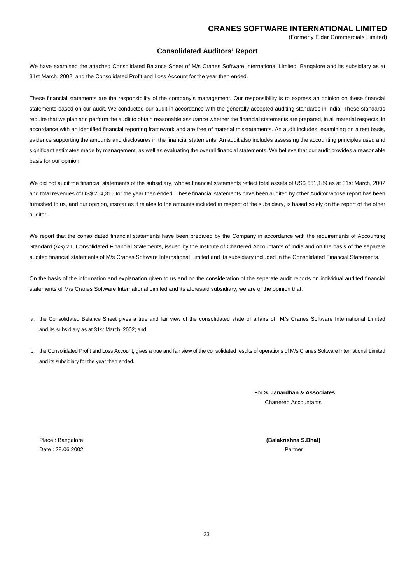## **Consolidated Auditors' Report**

We have examined the attached Consolidated Balance Sheet of M/s Cranes Software International Limited, Bangalore and its subsidiary as at 31st March, 2002, and the Consolidated Profit and Loss Account for the year then ended.

These financial statements are the responsibility of the company's management. Our responsibility is to express an opinion on these financial statements based on our audit. We conducted our audit in accordance with the generally accepted auditing standards in India. These standards require that we plan and perform the audit to obtain reasonable assurance whether the financial statements are prepared, in all material respects, in accordance with an identified financial reporting framework and are free of material misstatements. An audit includes, examining on a test basis, evidence supporting the amounts and disclosures in the financial statements. An audit also includes assessing the accounting principles used and significant estimates made by management, as well as evaluating the overall financial statements. We believe that our audit provides a reasonable basis for our opinion.

We did not audit the financial statements of the subsidiary, whose financial statements reflect total assets of US\$ 651,189 as at 31st March, 2002 and total revenues of US\$ 254,315 for the year then ended. These financial statements have been audited by other Auditor whose report has been furnished to us, and our opinion, insofar as it relates to the amounts included in respect of the subsidiary, is based solely on the report of the other auditor.

We report that the consolidated financial statements have been prepared by the Company in accordance with the requirements of Accounting Standard (AS) 21, Consolidated Financial Statements, issued by the Institute of Chartered Accountants of India and on the basis of the separate audited financial statements of M/s Cranes Software International Limited and its subsidiary included in the Consolidated Financial Statements.

On the basis of the information and explanation given to us and on the consideration of the separate audit reports on individual audited financial statements of M/s Cranes Software International Limited and its aforesaid subsidiary, we are of the opinion that:

- a. the Consolidated Balance Sheet gives a true and fair view of the consolidated state of affairs of M/s Cranes Software International Limited and its subsidiary as at 31st March, 2002; and
- b. the Consolidated Profit and Loss Account, gives a true and fair view of the consolidated results of operations of M/s Cranes Software International Limited and its subsidiary for the year then ended.

For **S. Janardhan & Associates** Chartered Accountants

Date : 28.06.2002Partner

Place : Bangalore **(Balakrishna S.Bhat)**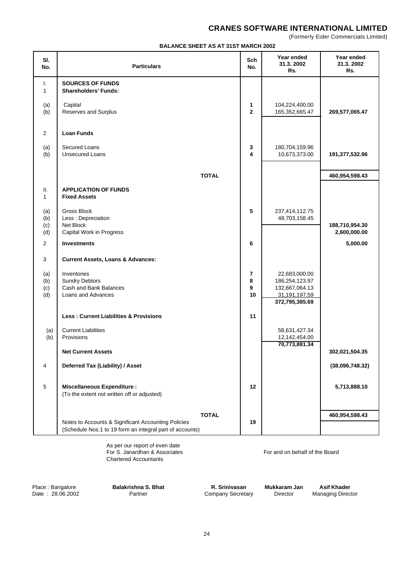(Formerly Eider Commercials Limited)

## **BALANCE SHEET AS AT 31ST MARCH 2002**

| SI.<br>No.               | <b>Particulars</b>                                                                                              | Sch<br>No.                     | Year ended<br>31.3.2002<br>Rs.                                                       | Year ended<br>31.3.2002<br>Rs. |
|--------------------------|-----------------------------------------------------------------------------------------------------------------|--------------------------------|--------------------------------------------------------------------------------------|--------------------------------|
| Τ.<br>$\mathbf{1}$       | <b>SOURCES OF FUNDS</b><br><b>Shareholders' Funds:</b>                                                          |                                |                                                                                      |                                |
| (a)<br>(b)               | Capital<br>Reserves and Surplus                                                                                 | 1<br>$\mathbf{2}$              | 104,224,400.00<br>165,352,665.47                                                     | 269,577,065.47                 |
| 2                        | <b>Loan Funds</b>                                                                                               |                                |                                                                                      |                                |
| (a)<br>(b)               | Secured Loans<br><b>Unsecured Loans</b>                                                                         | 3<br>4                         | 180,704,159.96<br>10,673,373.00                                                      | 191,377,532.96                 |
|                          | <b>TOTAL</b>                                                                                                    |                                |                                                                                      | 460,954,598.43                 |
| Ш.<br>$\mathbf{1}$       | <b>APPLICATION OF FUNDS</b><br><b>Fixed Assets</b>                                                              |                                |                                                                                      |                                |
| (a)<br>(b)<br>(c)<br>(d) | <b>Gross Block</b><br>Less : Depreciation<br>Net Block<br>Capital Work in Progress                              | 5                              | 237,414,112.75<br>48,703,158.45                                                      | 188,710,954.30<br>2,600,000.00 |
| 2                        | <b>Investments</b>                                                                                              | 6                              |                                                                                      | 5,000.00                       |
| 3                        | <b>Current Assets, Loans &amp; Advances:</b>                                                                    |                                |                                                                                      |                                |
| (a)<br>(b)<br>(c)<br>(d) | Inventories<br><b>Sundry Debtors</b><br>Cash and Bank Balances<br>Loans and Advances                            | $\overline{7}$<br>8<br>9<br>10 | 22,683,000.00<br>186,254,123.97<br>132,667,064.13<br>31,191,197.59<br>372,795,385.69 |                                |
|                          | <b>Less: Current Liabilities &amp; Provisions</b>                                                               | 11                             |                                                                                      |                                |
| (a)<br>(b)               | <b>Current Liabilities</b><br>Provisions                                                                        |                                | 58,631,427.34<br>12,142,454.00<br>70,773,881.34                                      |                                |
|                          | <b>Net Current Assets</b>                                                                                       |                                |                                                                                      | 302,021,504.35                 |
| 4                        | Deferred Tax (Liability) / Asset                                                                                |                                |                                                                                      | (38,096,748.32)                |
| $\mathbf 5$              | <b>Miscellaneous Expenditure:</b><br>(To the extent not written off or adjusted)                                | 12                             |                                                                                      | 5,713,888.10                   |
|                          | <b>TOTAL</b>                                                                                                    |                                |                                                                                      | 460,954,598.43                 |
|                          | Notes to Accounts & Significant Accounting Policies<br>(Schedule Nos.1 to 19 form an integral part of accounts) | 19                             |                                                                                      |                                |

As per our report of even date For S. Janardhan & Associates For and on behalf of the Board Chartered Accountants

Place : Bangalore **Balakrishna S. Bhat R. Srinivasan Mukkaram Jan Asif Khader**<br>Date : 28.06.2002 Partner **Primer Company Secretary Director** Managing Director

Company Secretary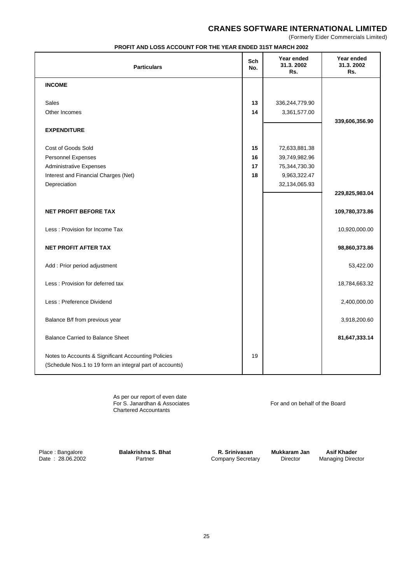(Formerly Eider Commercials Limited)

|  | <b>PROFIT AND LOSS ACCOUNT FOR THE YEAR ENDED 31ST MARCH 2002</b> |  |  |  |
|--|-------------------------------------------------------------------|--|--|--|
|--|-------------------------------------------------------------------|--|--|--|

| <b>Particulars</b>                                                                                              | Sch<br>No. | Year ended<br>31.3.2002<br>Rs. | Year ended<br>31.3.2002<br>Rs. |
|-----------------------------------------------------------------------------------------------------------------|------------|--------------------------------|--------------------------------|
| <b>INCOME</b>                                                                                                   |            |                                |                                |
| <b>Sales</b>                                                                                                    | 13         | 336,244,779.90                 |                                |
| Other Incomes                                                                                                   | 14         | 3,361,577.00                   |                                |
|                                                                                                                 |            |                                | 339,606,356.90                 |
| <b>EXPENDITURE</b>                                                                                              |            |                                |                                |
|                                                                                                                 |            |                                |                                |
| Cost of Goods Sold                                                                                              | 15         | 72,633,881.38                  |                                |
| <b>Personnel Expenses</b><br><b>Administrative Expenses</b>                                                     | 16<br>17   | 39,749,982.96<br>75,344,730.30 |                                |
| Interest and Financial Charges (Net)                                                                            | 18         | 9,963,322.47                   |                                |
| Depreciation                                                                                                    |            | 32,134,065.93                  |                                |
|                                                                                                                 |            |                                | 229,825,983.04                 |
|                                                                                                                 |            |                                |                                |
| <b>NET PROFIT BEFORE TAX</b>                                                                                    |            |                                | 109,780,373.86                 |
| Less: Provision for Income Tax                                                                                  |            |                                | 10,920,000.00                  |
| <b>NET PROFIT AFTER TAX</b>                                                                                     |            |                                | 98,860,373.86                  |
| Add : Prior period adjustment                                                                                   |            |                                | 53,422.00                      |
| Less: Provision for deferred tax                                                                                |            |                                | 18,784,663.32                  |
| Less : Preference Dividend                                                                                      |            |                                | 2,400,000.00                   |
| Balance B/f from previous year                                                                                  |            |                                | 3,918,200.60                   |
| <b>Balance Carried to Balance Sheet</b>                                                                         |            |                                | 81,647,333.14                  |
| Notes to Accounts & Significant Accounting Policies<br>(Schedule Nos.1 to 19 form an integral part of accounts) | 19         |                                |                                |

As per our report of even date For S. Janardhan & Associates For and on behalf of the Board Chartered Accountants

Place : Bangalore **Balakrishna S. Bhat R. Srinivasan Mukkaram Jan Asif Khader** Date : 28.06.2002 **Balakrishna S. Bhat** Company Secretary Director Managing Director

Partner **Company Secretary** Director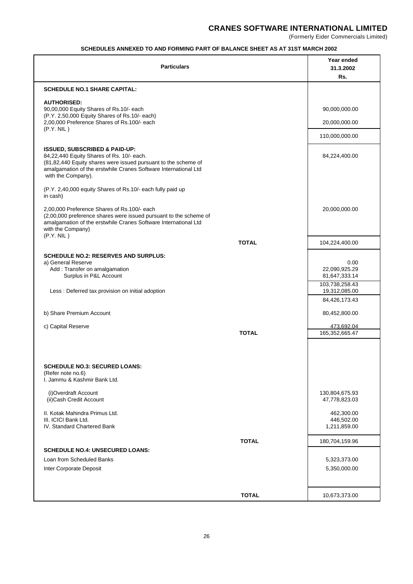(Formerly Eider Commercials Limited)

## **SCHEDULES ANNEXED TO AND FORMING PART OF BALANCE SHEET AS AT 31ST MARCH 2002**

| <b>Particulars</b>                                                                                                                                                                                                                               | Year ended<br>31.3.2002<br>Rs.                                            |
|--------------------------------------------------------------------------------------------------------------------------------------------------------------------------------------------------------------------------------------------------|---------------------------------------------------------------------------|
| <b>SCHEDULE NO.1 SHARE CAPITAL:</b>                                                                                                                                                                                                              |                                                                           |
| <b>AUTHORISED:</b><br>90,00,000 Equity Shares of Rs.10/- each<br>(P.Y. 2,50,000 Equity Shares of Rs.10/- each)                                                                                                                                   | 90,000,000.00                                                             |
| 2,00,000 Preference Shares of Rs.100/- each<br>(P.Y. NIL)                                                                                                                                                                                        | 20,000,000.00                                                             |
|                                                                                                                                                                                                                                                  | 110,000,000.00                                                            |
| <b>ISSUED, SUBSCRIBED &amp; PAID-UP:</b><br>84,22,440 Equity Shares of Rs. 10/- each.<br>(81,82,440 Equity shares were issued pursuant to the scheme of<br>amalgamation of the erstwhile Cranes Software International Ltd<br>with the Company). | 84,224,400.00                                                             |
| (P.Y. 2,40,000 equity Shares of Rs.10/- each fully paid up<br>in cash)                                                                                                                                                                           |                                                                           |
| 2,00,000 Preference Shares of Rs.100/- each<br>(2,00,000 preference shares were issued pursuant to the scheme of<br>amalgamation of the erstwhile Cranes Software International Ltd<br>with the Company)<br>(P.Y. NIL)                           | 20,000,000.00                                                             |
| <b>TOTAL</b>                                                                                                                                                                                                                                     | 104,224,400.00                                                            |
| <b>SCHEDULE NO.2: RESERVES AND SURPLUS:</b><br>a) General Reserve<br>Add: Transfer on amalgamation<br>Surplus in P&L Account<br>Less : Deferred tax provision on initial adoption                                                                | 0.00<br>22,090,925.29<br>81,647,333.14<br>103,738,258.43<br>19,312,085.00 |
| b) Share Premium Account                                                                                                                                                                                                                         | 84,426,173.43<br>80,452,800.00                                            |
| c) Capital Reserve                                                                                                                                                                                                                               | 473,692.04                                                                |
| <b>TOTAL</b>                                                                                                                                                                                                                                     | 165,352,665.47                                                            |
| <b>SCHEDULE NO.3: SECURED LOANS:</b><br>(Refer note no.6)<br>I. Jammu & Kashmir Bank Ltd.                                                                                                                                                        |                                                                           |
| (i)Overdraft Account<br>(ii) Cash Credit Account                                                                                                                                                                                                 | 130,804,675.93<br>47,778,823.03                                           |
| II. Kotak Mahindra Primus Ltd.<br>III. ICICI Bank Ltd.<br>IV. Standard Chartered Bank                                                                                                                                                            | 462,300.00<br>446,502.00<br>1,211,859.00                                  |
| <b>TOTAL</b>                                                                                                                                                                                                                                     | 180,704,159.96                                                            |
| <b>SCHEDULE NO.4: UNSECURED LOANS:</b><br>Loan from Scheduled Banks                                                                                                                                                                              |                                                                           |
| Inter Corporate Deposit                                                                                                                                                                                                                          | 5,323,373.00<br>5,350,000.00                                              |
| <b>TOTAL</b>                                                                                                                                                                                                                                     | 10,673,373.00                                                             |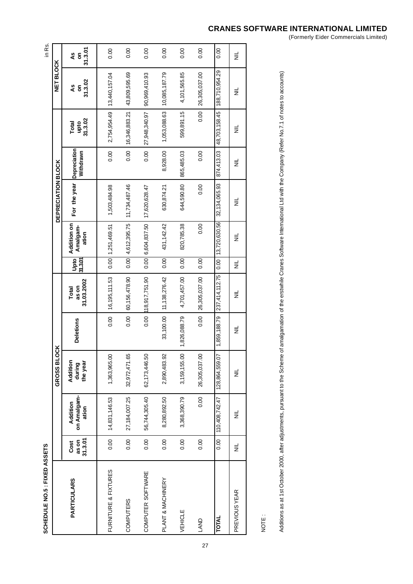| ٠<br>ı |
|--------|
| ĺ<br>I |
|        |
|        |
|        |
|        |
|        |
|        |
|        |
|        |
|        |
| í      |
| ı      |
|        |

| SCHEDULE NO.5 : FIXED ASSETS |                          |                                  |                                |                  |                              |                         |                                  |                           |                           |                          |                    | in Rs.             |
|------------------------------|--------------------------|----------------------------------|--------------------------------|------------------|------------------------------|-------------------------|----------------------------------|---------------------------|---------------------------|--------------------------|--------------------|--------------------|
|                              |                          |                                  | GROSS BLOCK                    |                  |                              |                         |                                  | <b>DEPRECIATION BLOCK</b> |                           |                          | <b>NET BLOCK</b>   |                    |
| <b>PARTICULARS</b>           | 31.3.01<br>as on<br>Cost | on Amalgam-<br>Addition<br>ation | Addition<br>the year<br>during | <b>Deletions</b> | 31.03.2002<br>as on<br>Total | 31.3.01 <br><b>Upto</b> | Addition on<br>Amalgam-<br>ation | For the year              | Depreciation<br>Withdrawn | 31.3.02<br>Total<br>upto | 31.3.02<br>٩S<br>5 | 31.3.01<br>٩S<br>ã |
| FURNITURE & FIXTURES         | 0.00                     | 14,831,146.53                    | 1,363,965.00                   | 0.00             | 16,195,111.53                |                         | $0.00$   1,251,469.51            | 1,503,484.98              | 0.00                      | 2,754,954.49             | 13,440,157.04      | 0.00               |
| <b>COMPUTERS</b>             | 0.00                     | 27,184,007.25                    | 32,972,471.65                  | 0.00             | 60, 156, 478.90              |                         | $0.00$ 4,612,395.75              | 11,734,487.46             | 0.00                      | 16,346,883.21            | 43,809,595.69      | 0.00               |
| COMPUTER SOFTWARE            | 0.00                     | 56,744,305.40                    | 62,173,446.50                  | 0.00             | 118,917,751.90               | 0.00                    | 6,604,837.50                     | 17,620,628.47             | 0.00                      | 27,948,340.97            | 90,969,410.93      | 0.00               |
| PLANT & MACHINERY            | 0.00                     | 8,280,892.50                     | 2,890,483.92                   | 33,100.00        | 11, 138, 276.42              | 0.00                    | 431, 142.42                      | 630,874.21                | 8,928.00                  | 1,053,088.63             | 10,085,187.79      | 0.00               |
| VEHICLE                      | 0.00                     | 3,368,390.79                     | 3,159,155.00                   | 1,826,088.79     | 4,701,457.00                 | $\overline{0.00}$       | 820,785.38                       | 644,590.80                | 865,485.03                | 599,891.15               | 4,101,565.85       | 0.00               |
| LAND                         | 0.00                     | 0.00                             | 26,305,037.00                  | 0.00             | 26,305,037.00                | 0.00                    | 0.00                             | 0.00                      | 0.00                      | 0.00                     | 26,305,037.00      | 0.00               |
| <b>TOTAL</b>                 | 0.00                     | 110,408,742.47                   | 128,864,559.07                 | 1,859,188.79     | 237,414,112.75               | 0.00                    | 13,720,630.56                    | 32, 134, 065.93           | 874,413.03                | 48,703,158.45            | 188,710,954.29     | 0.00               |
| PREVIOUS YEAR                | $\equiv$                 | ž                                | $\equiv$                       | $\equiv$         | $\equiv$                     | ă                       | $\equiv$                         | $\equiv$                  | $\equiv$                  | $\equiv$                 | $\equiv$           | $\equiv$           |
|                              |                          |                                  |                                |                  |                              |                         |                                  |                           |                           |                          |                    |                    |

NOTE :

Additions as at 1st October 2000, after adjustments, pursuant to the Scheme of amalgamation of the erstwhile Cranes Software International Ltd with the Company (Refer No.7.1 of notes to accounts) Additions as at 1st October 2000, after adjustments, pursuant to the Scheme Scheme of amalgamation of the erstwhile Cranes Software International Ltd with the Company (Refer No.7.1 of notes to accounts)

# **CRANES SOFTWARE INTERNATIONAL LIMITED**

(Formerly Eider Commercials Limited)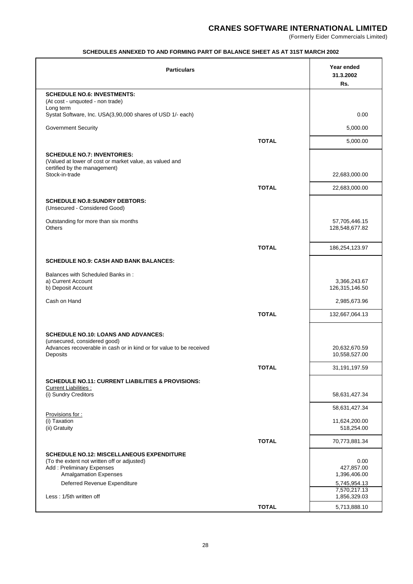(Formerly Eider Commercials Limited)

## **SCHEDULES ANNEXED TO AND FORMING PART OF BALANCE SHEET AS AT 31ST MARCH 2002**

| <b>Particulars</b>                                                                              |              | Year ended<br>31.3.2002<br>Rs. |
|-------------------------------------------------------------------------------------------------|--------------|--------------------------------|
| <b>SCHEDULE NO.6: INVESTMENTS:</b>                                                              |              |                                |
| (At cost - unquoted - non trade)<br>Long term                                                   |              |                                |
| Systat Software, Inc. USA(3,90,000 shares of USD 1/- each)                                      |              | 0.00                           |
| <b>Government Security</b>                                                                      |              | 5,000.00                       |
|                                                                                                 | <b>TOTAL</b> | 5,000.00                       |
| <b>SCHEDULE NO.7: INVENTORIES:</b>                                                              |              |                                |
| (Valued at lower of cost or market value, as valued and                                         |              |                                |
| certified by the management)<br>Stock-in-trade                                                  |              | 22,683,000.00                  |
|                                                                                                 | <b>TOTAL</b> | 22,683,000.00                  |
| <b>SCHEDULE NO.8: SUNDRY DEBTORS:</b>                                                           |              |                                |
| (Unsecured - Considered Good)                                                                   |              |                                |
| Outstanding for more than six months                                                            |              | 57,705,446.15                  |
| <b>Others</b>                                                                                   |              | 128,548,677.82                 |
|                                                                                                 | <b>TOTAL</b> | 186,254,123.97                 |
| <b>SCHEDULE NO.9: CASH AND BANK BALANCES:</b>                                                   |              |                                |
|                                                                                                 |              |                                |
| Balances with Scheduled Banks in:<br>a) Current Account                                         |              | 3,366,243.67                   |
| b) Deposit Account                                                                              |              | 126,315,146.50                 |
| Cash on Hand                                                                                    |              | 2,985,673.96                   |
|                                                                                                 | <b>TOTAL</b> | 132,667,064.13                 |
| <b>SCHEDULE NO.10: LOANS AND ADVANCES:</b>                                                      |              |                                |
| (unsecured, considered good)                                                                    |              |                                |
| Advances recoverable in cash or in kind or for value to be received<br>Deposits                 |              | 20,632,670.59<br>10,558,527.00 |
|                                                                                                 | <b>TOTAL</b> | 31,191,197.59                  |
| <b>SCHEDULE NO.11: CURRENT LIABILITIES &amp; PROVISIONS:</b>                                    |              |                                |
| <b>Current Liabilities:</b>                                                                     |              |                                |
| (i) Sundry Creditors                                                                            |              | 58,631,427.34                  |
| Provisions for:                                                                                 |              | 58,631,427.34                  |
| (i) Taxation<br>(ii) Gratuity                                                                   |              | 11,624,200.00<br>518,254.00    |
|                                                                                                 | <b>TOTAL</b> | 70,773,881.34                  |
|                                                                                                 |              |                                |
| <b>SCHEDULE NO.12: MISCELLANEOUS EXPENDITURE</b><br>(To the extent not written off or adjusted) |              | 0.00                           |
| Add: Preliminary Expenses<br><b>Amalgamation Expenses</b>                                       |              | 427,857.00<br>1,396,406.00     |
| Deferred Revenue Expenditure                                                                    |              | 5,745,954.13                   |
| Less: 1/5th written off                                                                         |              | 7,570,217.13<br>1,856,329.03   |
|                                                                                                 | <b>TOTAL</b> | 5,713,888.10                   |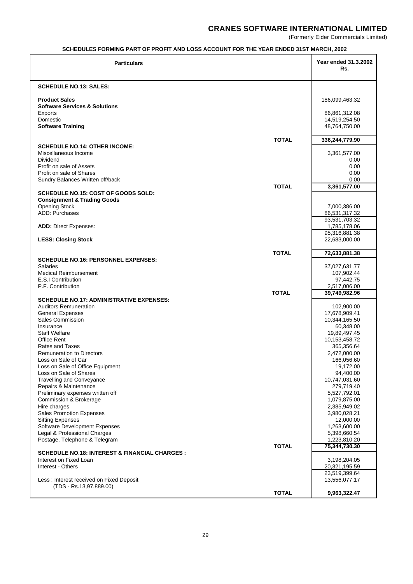(Formerly Eider Commercials Limited)

## **SCHEDULES FORMING PART OF PROFIT AND LOSS ACCOUNT FOR THE YEAR ENDED 31ST MARCH, 2002**

| <b>Particulars</b>                                                                  | Year ended 31.3.2002<br>Rs.   |
|-------------------------------------------------------------------------------------|-------------------------------|
| <b>SCHEDULE NO.13: SALES:</b>                                                       |                               |
| <b>Product Sales</b><br><b>Software Services &amp; Solutions</b>                    | 186,099,463.32                |
| Exports                                                                             | 86,861,312.08                 |
| Domestic                                                                            | 14,519,254.50                 |
| <b>Software Training</b>                                                            | 48,764,750.00                 |
| <b>TOTAL</b>                                                                        | 336,244,779.90                |
| <b>SCHEDULE NO.14: OTHER INCOME:</b>                                                |                               |
| Miscellaneous Income                                                                | 3,361,577.00                  |
| Dividend<br>Profit on sale of Assets                                                | 0.00<br>0.00                  |
| Profit on sale of Shares                                                            | 0.00                          |
| Sundry Balances Written off/back                                                    | 0.00                          |
| <b>TOTAL</b>                                                                        | 3,361,577.00                  |
| SCHEDULE NO.15: COST OF GOODS SOLD:<br><b>Consignment &amp; Trading Goods</b>       |                               |
| <b>Opening Stock</b>                                                                | 7,000,386.00                  |
| ADD: Purchases                                                                      | 86,531,317.32                 |
|                                                                                     | 93,531,703.32                 |
| <b>ADD: Direct Expenses:</b>                                                        | 1,785,178.06<br>95,316,881.38 |
| <b>LESS: Closing Stock</b>                                                          | 22,683,000.00                 |
|                                                                                     |                               |
| <b>TOTAL</b><br><b>SCHEDULE NO.16: PERSONNEL EXPENSES:</b>                          | 72,633,881.38                 |
| <b>Salaries</b>                                                                     | 37,027,631.77                 |
| Medical Reimbursement                                                               | 107,902.44                    |
| E.S.I Contribution                                                                  | 97,442.75                     |
| P.F. Contribution<br><b>TOTAL</b>                                                   | 2,517,006.00<br>39,749,982.96 |
| <b>SCHEDULE NO.17: ADMINISTRATIVE EXPENSES:</b>                                     |                               |
| <b>Auditors Remuneration</b>                                                        | 102,900.00                    |
| <b>General Expenses</b>                                                             | 17,678,909.41                 |
| <b>Sales Commission</b><br>Insurance                                                | 10,344,165.50<br>60,348.00    |
| <b>Staff Welfare</b>                                                                | 19,89,497.45                  |
| <b>Office Rent</b>                                                                  | 10,153,458.72                 |
| Rates and Taxes                                                                     | 365,356.64                    |
| <b>Remuneration to Directors</b><br>Loss on Sale of Car                             | 2,472,000.00<br>166,056.60    |
| Loss on Sale of Office Equipment                                                    | 19,172.00                     |
| Loss on Sale of Shares                                                              | 94,400.00                     |
| <b>Travelling and Conveyance</b>                                                    | 10,747,031.60                 |
| Repairs & Maintenance<br>Preliminary expenses written off                           | 279,719.40<br>5,527,792.01    |
| Commission & Brokerage                                                              | 1,079,875.00                  |
| Hire charges                                                                        | 2,385,949.02                  |
| <b>Sales Promotion Expenses</b>                                                     | 3,980,028.21                  |
| <b>Sitting Expenses</b><br>Software Development Expenses                            | 12,000.00<br>1,263,600.00     |
| Legal & Professional Charges                                                        | 5,398,660.54                  |
| Postage, Telephone & Telegram                                                       | 1,223,810.20                  |
| <b>TOTAL</b>                                                                        | 75,344,730.30                 |
| <b>SCHEDULE NO.18: INTEREST &amp; FINANCIAL CHARGES :</b><br>Interest on Fixed Loan | 3,198,204.05                  |
| Interest - Others                                                                   | 20,321,195.59                 |
|                                                                                     | 23,519,399.64                 |
| Less: Interest received on Fixed Deposit<br>(TDS - Rs.13,97,889.00)                 | 13,556,077.17                 |
| <b>TOTAL</b>                                                                        | 9,963,322.47                  |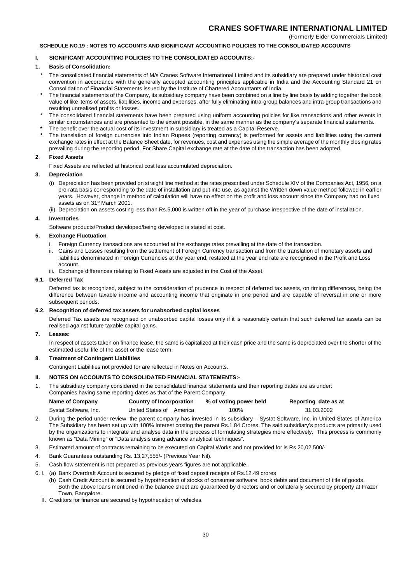### **SCHEDULE NO.19 : NOTES TO ACCOUNTS AND SIGNIFICANT ACCOUNTING POLICIES TO THE CONSOLIDATED ACCOUNTS**

## **I. SIGNIFICANT ACCOUNTING POLICIES TO THE CONSOLIDATED ACCOUNTS:-**

#### **1. Basis of Consolidation:**

- The consolidated financial statements of M/s Cranes Software International Limited and its subsidiary are prepared under historical cost convention in accordance with the generally accepted accounting principles applicable in India and the Accounting Standard 21 on Consolidation of Financial Statements issued by the Institute of Chartered Accountants of India.
- **\*** The financial statements of the Company, its subsidiary company have been combined on a line by line basis by adding together the book value of like items of assets, liabilities, income and expenses, after fully eliminating intra-group balances and intra-group transactions and resulting unrealised profits or losses.
- The consolidated financial statements have been prepared using uniform accounting policies for like transactions and other events in similar circumstances and are presented to the extent possible, in the same manner as the company's separate financial statements.
- The benefit over the actual cost of its investment in subsidiary is treated as a Capital Reserve.
- **\*** The translation of foreign currencies into Indian Rupees (reporting currency) is performed for assets and liabilities using the current exchange rates in effect at the Balance Sheet date, for revenues, cost and expenses using the simple average of the monthly closing rates prevailing during the reporting period. For Share Capital exchange rate at the date of the transaction has been adopted.

#### **2**. **Fixed Assets**

Fixed Assets are reflected at historical cost less accumulated depreciation.

#### **3. Depreciation**

- (i) Depreciation has been provided on straight line method at the rates prescribed under Schedule XIV of the Companies Act, 1956, on a pro-rata basis corresponding to the date of installation and put into use, as against the Written down value method followed in earlier years. However, change in method of calculation will have no effect on the profit and loss account since the Company had no fixed assets as on 31st March 2001.
- (ii) Depreciation on assets costing less than Rs.5,000 is written off in the year of purchase irrespective of the date of installation.

#### **4. Inventories**

Software products/Product developed/being developed is stated at cost.

#### **5. Exchange Fluctuation**

- Foreign Currency transactions are accounted at the exchange rates prevailing at the date of the transaction.
- ii. Gains and Losses resulting from the settlement of Foreign Currency transaction and from the translation of monetary assets and liabilities denominated in Foreign Currencies at the year end, restated at the year end rate are recognised in the Profit and Loss account.
- iii. Exchange differences relating to Fixed Assets are adjusted in the Cost of the Asset.

#### **6.1. Deferred Tax**

Deferred tax is recognized, subject to the consideration of prudence in respect of deferred tax assets, on timing differences, being the difference between taxable income and accounting income that originate in one period and are capable of reversal in one or more subsequent periods.

#### **6.2. Recognition of deferred tax assets for unabsorbed capital losses**

Deferred Tax assets are recognised on unabsorbed capital losses only if it is reasonably certain that such deferred tax assets can be realised against future taxable capital gains.

#### **7. Leases:**

In respect of assets taken on finance lease, the same is capitalized at their cash price and the same is depreciated over the shorter of the estimated useful life of the asset or the lease term.

#### **8**. **Treatment of Contingent Liabilities**

Contingent Liabilities not provided for are reflected in Notes on Accounts.

#### **II. NOTES ON ACCOUNTS TO CONSOLIDATED FINANCIAL STATEMENTS:-**

1. The subsidiary company considered in the consolidated financial statements and their reporting dates are as under: Companies having same reporting dates as that of the Parent Company

| Name of Company       | Country of Incorporation | % of voting power held | Reporting date as at |
|-----------------------|--------------------------|------------------------|----------------------|
| Systat Software, Inc. | United States of America | 100%                   | 31.03.2002           |

- 2. During the period under review, the parent company has invested in its subsidiary Systat Software, Inc. in United States of America The Subsidiary has been set up with 100% Interest costing the parent Rs.1.84 Crores. The said subsidiary's products are primarily used by the organizations to integrate and analyse data in the process of formulating strategies more effectively. This process is commonly known as "Data Mining" or "Data analysis using advance analytical techniques".
- 3. Estimated amount of contracts remaining to be executed on Capital Works and not provided for is Rs 20,02,500/-
- 4. Bank Guarantees outstanding Rs. 13,27,555/- (Previous Year Nil).
- 5. Cash flow statement is not prepared as previous years figures are not applicable.
- 6. I. (a) Bank Overdraft Account is secured by pledge of fixed deposit receipts of Rs.12.49 crores
	- (b) Cash Credit Account is secured by hypothecation of stocks of consumer software, book debts and document of title of goods. Both the above loans mentioned in the balance sheet are guaranteed by directors and or collaterally secured by property at Frazer Town, Bangalore.
	- II. Creditors for finance are secured by hypothecation of vehicles.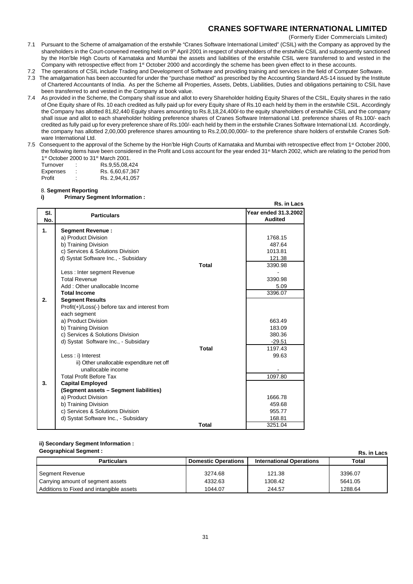(Formerly Eider Commercials Limited)

- 7.1 Pursuant to the Scheme of amalgamation of the erstwhile "Cranes Software International Limited" (CSIL) with the Company as approved by the shareholders in the Court-convened meeting held on 9<sup>th</sup> April 2001 in respect of shareholders of the erstwhile CSIL and subsequently sanctioned by the Hon'ble High Courts of Karnataka and Mumbai the assets and liabilities of the erstwhile CSIL were transferred to and vested in the Company with retrospective effect from 1<sup>st</sup> October 2000 and accordingly the scheme has been given effect to in these accounts.
- 7.2 The operations of CSIL include Trading and Development of Software and providing training and services in the field of Computer Software.
- 7.3 The amalgamation has been accounted for under the "purchase method" as prescribed by the Accounting Standard AS-14 issued by the Institute of Chartered Accountants of India. As per the Scheme all Properties, Assets, Debts, Liabilities, Duties and obligations pertaining to CSIL have been transferred to and vested in the Company at book value.
- 7.4 As provided in the Scheme, the Company shall issue and allot to every Shareholder holding Equity Shares of the CSIL, Equity shares in the ratio of One Equity share of Rs. 10 each credited as fully paid up for every Equity share of Rs.10 each held by them in the erstwhile CSIL. Accordingly the Company has allotted 81,82,440 Equity shares amounting to Rs.8,18,24,400/-to the equity shareholders of erstwhile CSIL and the company shall issue and allot to each shareholder holding preference shares of Cranes Software International Ltd. preference shares of Rs.100/- each credited as fully paid up for every preference share of Rs.100/- each held by them in the erstwhile Cranes Software International Ltd. Accordingly, the company has allotted 2,00,000 preference shares amounting to Rs.2,00,00,000/- to the preference share holders of erstwhile Cranes Software International Ltd.
- 7.5 Consequent to the approval of the Scheme by the Hon'ble High Courts of Karnataka and Mumbai with retrospective effect from 1<sup>st</sup> October 2000, the following items have been considered in the Profit and Loss account for the year ended 31<sup>st</sup> March 2002, which are relating to the period from 1st October 2000 to 31st March 2001.

| Turnover | ٠      | Rs.9,55,08,424  |
|----------|--------|-----------------|
| Expenses |        | Rs. 6,60,67,367 |
| Profit   | ٠<br>٠ | Rs. 2,94,41,057 |

#### 8. **Segment Reporting**

## **i) Primary Segment Information :**

|     |                                                  |              | Rs. in Lacs          |
|-----|--------------------------------------------------|--------------|----------------------|
| SI. | <b>Particulars</b>                               |              | Year ended 31.3.2002 |
| No. |                                                  |              | <b>Audited</b>       |
| 1.  | <b>Segment Revenue:</b>                          |              |                      |
|     | a) Product Division                              |              | 1768.15              |
|     | b) Training Division                             |              | 487.64               |
|     | c) Services & Solutions Division                 |              | 1013.81              |
|     | d) Systat Software Inc., - Subsidary             |              | 121.38               |
|     |                                                  | Total        | 3390.98              |
|     | Less: Inter segment Revenue                      |              |                      |
|     | <b>Total Revenue</b>                             |              | 3390.98              |
|     | Add: Other unallocable Income                    |              | 5.09                 |
|     | <b>Total Income</b>                              |              | 3396.07              |
| 2.  | <b>Segment Results</b>                           |              |                      |
|     | $Profit(+)/Loss(-)$ before tax and interest from |              |                      |
|     | each segment                                     |              |                      |
|     | a) Product Division                              |              | 663.49               |
|     | b) Training Division                             |              | 183.09               |
|     | c) Services & Solutions Division                 |              | 380.36               |
|     | d) Systat Software Inc., - Subsidary             |              | $-29.51$             |
|     |                                                  | Total        | 1197.43              |
|     | Less : i) Interest                               |              | 99.63                |
|     | ii) Other unallocable expenditure net off        |              |                      |
|     | unallocable income                               |              |                      |
|     | <b>Total Profit Before Tax</b>                   |              | 1097.80              |
| 3.  | <b>Capital Employed</b>                          |              |                      |
|     | (Segment assets - Segment liabilities)           |              |                      |
|     | a) Product Division                              |              | 1666.78              |
|     | b) Training Division                             |              | 459.68               |
|     | c) Services & Solutions Division                 |              | 955.77               |
|     | d) Systat Software Inc., - Subsidary             |              | 168.81               |
|     |                                                  | <b>Total</b> | 3251.04              |

## **ii) Secondary Segment Information :**

## **Geographical Segment :**

| <b>Geographical Segment:</b><br><b>Rs. in Lacs</b> |                            |                                 |         |  |
|----------------------------------------------------|----------------------------|---------------------------------|---------|--|
| <b>Particulars</b>                                 | <b>Domestic Operations</b> | <b>International Operations</b> | Total   |  |
| Segment Revenue                                    | 3274.68                    | 121.38                          | 3396.07 |  |
| Carrying amount of segment assets                  | 4332.63                    | 1308.42                         | 5641.05 |  |
| Additions to Fixed and intangible assets           | 1044.07                    | 244.57                          | 1288.64 |  |